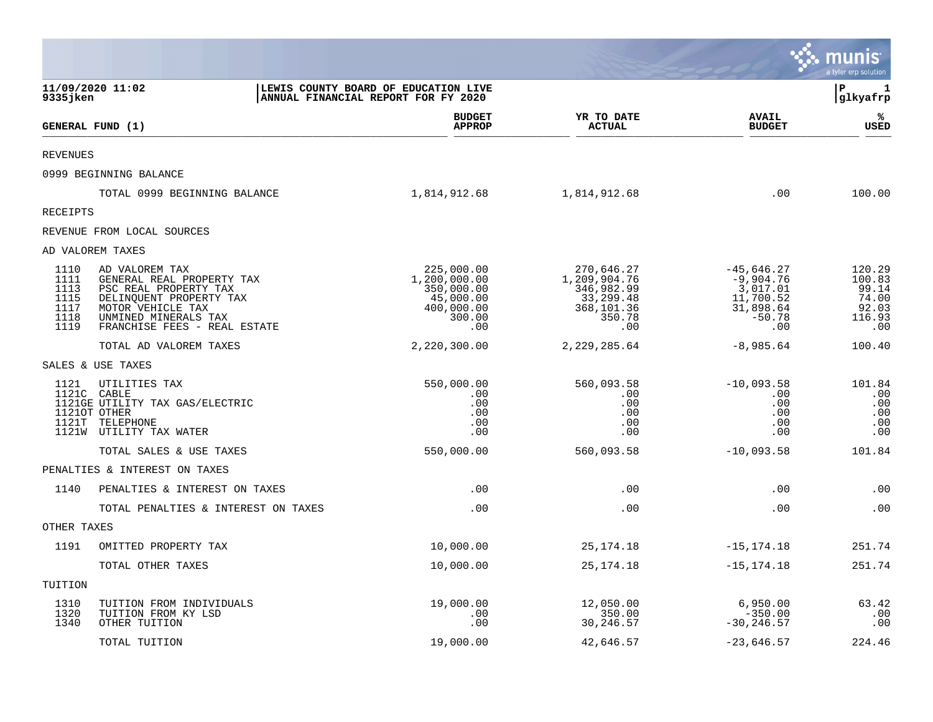|                                                      |                                                                                                                                                                              |                                                                                      |                                                                                      |                                                                                      | munis<br>a tyler erp solution                                |
|------------------------------------------------------|------------------------------------------------------------------------------------------------------------------------------------------------------------------------------|--------------------------------------------------------------------------------------|--------------------------------------------------------------------------------------|--------------------------------------------------------------------------------------|--------------------------------------------------------------|
| 9335 jken                                            | 11/09/2020 11:02                                                                                                                                                             | LEWIS COUNTY BOARD OF EDUCATION LIVE<br>ANNUAL FINANCIAL REPORT FOR FY 2020          |                                                                                      |                                                                                      | Þ<br>1<br>glkyafrp                                           |
|                                                      | GENERAL FUND (1)                                                                                                                                                             | <b>BUDGET</b><br><b>APPROP</b>                                                       | YR TO DATE<br><b>ACTUAL</b>                                                          | <b>AVAIL</b><br><b>BUDGET</b>                                                        | ℁<br>USED                                                    |
| <b>REVENUES</b>                                      |                                                                                                                                                                              |                                                                                      |                                                                                      |                                                                                      |                                                              |
|                                                      | 0999 BEGINNING BALANCE                                                                                                                                                       |                                                                                      |                                                                                      |                                                                                      |                                                              |
|                                                      | TOTAL 0999 BEGINNING BALANCE                                                                                                                                                 | 1,814,912.68                                                                         | 1,814,912.68                                                                         | .00                                                                                  | 100.00                                                       |
| RECEIPTS                                             |                                                                                                                                                                              |                                                                                      |                                                                                      |                                                                                      |                                                              |
|                                                      | REVENUE FROM LOCAL SOURCES                                                                                                                                                   |                                                                                      |                                                                                      |                                                                                      |                                                              |
|                                                      | AD VALOREM TAXES                                                                                                                                                             |                                                                                      |                                                                                      |                                                                                      |                                                              |
| 1110<br>1111<br>1113<br>1115<br>1117<br>1118<br>1119 | AD VALOREM TAX<br>GENERAL REAL PROPERTY TAX<br>PSC REAL PROPERTY TAX<br>DELINQUENT PROPERTY TAX<br>MOTOR VEHICLE TAX<br>UNMINED MINERALS TAX<br>FRANCHISE FEES - REAL ESTATE | 225,000.00<br>1,200,000.00<br>350,000.00<br>45,000.00<br>400,000.00<br>300.00<br>.00 | 270,646.27<br>1,209,904.76<br>346,982.99<br>33,299.48<br>368,101.36<br>350.78<br>.00 | $-45,646.27$<br>$-9,904.76$<br>3,017.01<br>11,700.52<br>31,898.64<br>$-50.78$<br>.00 | 120.29<br>100.83<br>99.14<br>74.00<br>92.03<br>116.93<br>.00 |
|                                                      | TOTAL AD VALOREM TAXES                                                                                                                                                       | 2,220,300.00                                                                         | 2, 229, 285.64                                                                       | $-8,985.64$                                                                          | 100.40                                                       |
|                                                      | SALES & USE TAXES                                                                                                                                                            |                                                                                      |                                                                                      |                                                                                      |                                                              |
| 1121                                                 | UTILITIES TAX<br>1121C CABLE<br>1121GE UTILITY TAX GAS/ELECTRIC<br>11210T OTHER<br>1121T TELEPHONE<br>1121W UTILITY TAX WATER                                                | 550,000.00<br>.00<br>.00<br>.00<br>.00<br>.00                                        | 560,093.58<br>.00<br>.00<br>.00<br>.00<br>.00                                        | $-10,093.58$<br>.00<br>.00<br>.00<br>.00<br>.00                                      | 101.84<br>.00<br>.00<br>.00<br>.00<br>.00                    |
|                                                      | TOTAL SALES & USE TAXES                                                                                                                                                      | 550,000.00                                                                           | 560,093.58                                                                           | $-10,093.58$                                                                         | 101.84                                                       |
|                                                      | PENALTIES & INTEREST ON TAXES                                                                                                                                                |                                                                                      |                                                                                      |                                                                                      |                                                              |
| 1140                                                 | PENALTIES & INTEREST ON TAXES                                                                                                                                                | .00                                                                                  | .00                                                                                  | .00                                                                                  | .00                                                          |
|                                                      | TOTAL PENALTIES & INTEREST ON TAXES                                                                                                                                          | .00                                                                                  | .00                                                                                  | .00                                                                                  | .00                                                          |
| OTHER TAXES                                          |                                                                                                                                                                              |                                                                                      |                                                                                      |                                                                                      |                                                              |
| 1191                                                 | OMITTED PROPERTY TAX                                                                                                                                                         | 10,000.00                                                                            | 25, 174. 18                                                                          | $-15, 174.18$                                                                        | 251.74                                                       |
|                                                      | TOTAL OTHER TAXES                                                                                                                                                            | 10,000.00                                                                            | 25, 174. 18                                                                          | $-15, 174.18$                                                                        | 251.74                                                       |
| TUITION                                              |                                                                                                                                                                              |                                                                                      |                                                                                      |                                                                                      |                                                              |
| 1310<br>1320<br>1340                                 | TUITION FROM INDIVIDUALS<br>TUITION FROM KY LSD<br>OTHER TUITION                                                                                                             | 19,000.00<br>.00<br>.00                                                              | 12,050.00<br>350.00<br>30,246.57                                                     | 6,950.00<br>$-350.00$<br>$-30, 246.57$                                               | 63.42<br>.00<br>.00                                          |
|                                                      | TOTAL TUITION                                                                                                                                                                | 19,000.00                                                                            | 42,646.57                                                                            | $-23,646.57$                                                                         | 224.46                                                       |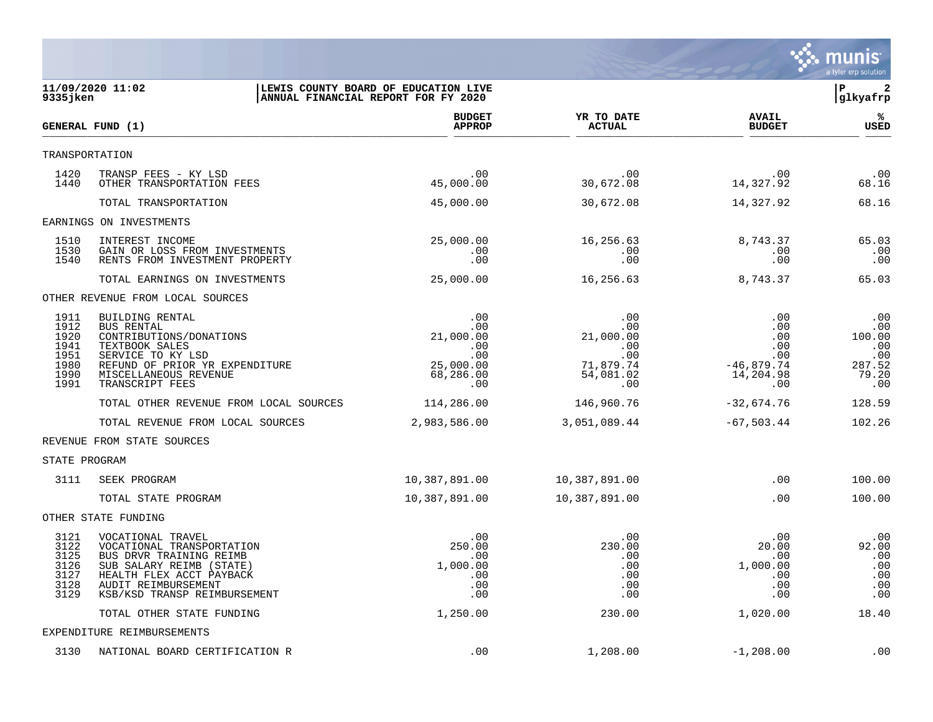

| 11/09/2020 11:02<br>9335 jken                                |                                                                                                                                                                                          | LEWIS COUNTY BOARD OF EDUCATION LIVE<br>ANNUAL FINANCIAL REPORT FOR FY 2020      |                                                                        |                                                                     | $\overline{a}$<br>l P<br> glkyafrp                           |
|--------------------------------------------------------------|------------------------------------------------------------------------------------------------------------------------------------------------------------------------------------------|----------------------------------------------------------------------------------|------------------------------------------------------------------------|---------------------------------------------------------------------|--------------------------------------------------------------|
|                                                              | GENERAL FUND (1)                                                                                                                                                                         | <b>BUDGET</b><br><b>APPROP</b>                                                   | YR TO DATE<br><b>ACTUAL</b>                                            | <b>AVAIL</b><br><b>BUDGET</b>                                       | %ะ<br><b>USED</b>                                            |
|                                                              | TRANSPORTATION                                                                                                                                                                           |                                                                                  |                                                                        |                                                                     |                                                              |
| 1420<br>1440                                                 | TRANSP FEES - KY LSD<br>OTHER TRANSPORTATION FEES                                                                                                                                        | .00<br>45,000.00                                                                 | .00<br>30,672.08                                                       | .00<br>14,327.92                                                    | .00<br>68.16                                                 |
|                                                              | TOTAL TRANSPORTATION                                                                                                                                                                     | 45,000.00                                                                        | 30,672.08                                                              | 14,327.92                                                           | 68.16                                                        |
|                                                              | EARNINGS ON INVESTMENTS                                                                                                                                                                  |                                                                                  |                                                                        |                                                                     |                                                              |
| 1510<br>1530<br>1540                                         | INTEREST INCOME<br>GAIN OR LOSS FROM INVESTMENTS<br>RENTS FROM INVESTMENT PROPERTY                                                                                                       | 25,000.00<br>.00<br>.00                                                          | 16,256.63<br>.00<br>.00                                                | 8,743.37<br>.00<br>.00                                              | 65.03<br>.00<br>.00                                          |
|                                                              | TOTAL EARNINGS ON INVESTMENTS                                                                                                                                                            | 25,000.00                                                                        | 16,256.63                                                              | 8,743.37                                                            | 65.03                                                        |
|                                                              | OTHER REVENUE FROM LOCAL SOURCES                                                                                                                                                         |                                                                                  |                                                                        |                                                                     |                                                              |
| 1911<br>1912<br>1920<br>1941<br>1951<br>1980<br>1990<br>1991 | BUILDING RENTAL<br><b>BUS RENTAL</b><br>CONTRIBUTIONS/DONATIONS<br>TEXTBOOK SALES<br>SERVICE TO KY LSD<br>REFUND OF PRIOR YR EXPENDITURE<br>MISCELLANEOUS REVENUE<br>TRANSCRIPT FEES     | .00<br>$.00 \,$<br>21,000.00<br>$.00 \,$<br>.00<br>25,000.00<br>68,286.00<br>.00 | .00<br>.00<br>21,000.00<br>.00<br>.00<br>71,879.74<br>54,081.02<br>.00 | .00<br>.00<br>.00<br>.00<br>.00<br>$-46,879.74$<br>14,204.98<br>.00 | .00<br>.00<br>100.00<br>.00<br>.00<br>287.52<br>79.20<br>.00 |
|                                                              | TOTAL OTHER REVENUE FROM LOCAL SOURCES                                                                                                                                                   | 114,286.00                                                                       | 146,960.76                                                             | $-32,674.76$                                                        | 128.59                                                       |
|                                                              | TOTAL REVENUE FROM LOCAL SOURCES                                                                                                                                                         | 2,983,586.00                                                                     | 3,051,089.44                                                           | $-67,503.44$                                                        | 102.26                                                       |
|                                                              | REVENUE FROM STATE SOURCES                                                                                                                                                               |                                                                                  |                                                                        |                                                                     |                                                              |
| STATE PROGRAM                                                |                                                                                                                                                                                          |                                                                                  |                                                                        |                                                                     |                                                              |
| 3111                                                         | SEEK PROGRAM                                                                                                                                                                             | 10,387,891.00                                                                    | 10,387,891.00                                                          | .00                                                                 | 100.00                                                       |
|                                                              | TOTAL STATE PROGRAM                                                                                                                                                                      | 10,387,891.00                                                                    | 10,387,891.00                                                          | .00                                                                 | 100.00                                                       |
|                                                              | OTHER STATE FUNDING                                                                                                                                                                      |                                                                                  |                                                                        |                                                                     |                                                              |
| 3121<br>3122<br>3125<br>3126<br>3127<br>3128<br>3129         | VOCATIONAL TRAVEL<br>VOCATIONAL TRANSPORTATION<br>BUS DRVR TRAINING REIMB<br>SUB SALARY REIMB (STATE)<br>HEALTH FLEX ACCT PAYBACK<br>AUDIT REIMBURSEMENT<br>KSB/KSD TRANSP REIMBURSEMENT | .00.<br>250.00<br>$.00 \,$<br>1,000.00<br>.00<br>.00<br>.00                      | .00<br>230.00<br>.00<br>.00<br>.00<br>.00<br>.00                       | .00<br>20.00<br>.00<br>1,000.00<br>.00<br>.00<br>.00                | .00<br>92.00<br>.00<br>.00<br>.00<br>.00<br>.00              |
|                                                              | TOTAL OTHER STATE FUNDING                                                                                                                                                                | 1,250.00                                                                         | 230.00                                                                 | 1,020.00                                                            | 18.40                                                        |
|                                                              | EXPENDITURE REIMBURSEMENTS                                                                                                                                                               |                                                                                  |                                                                        |                                                                     |                                                              |
| 3130                                                         | NATIONAL BOARD CERTIFICATION R                                                                                                                                                           | .00                                                                              | 1,208.00                                                               | $-1,208.00$                                                         | .00                                                          |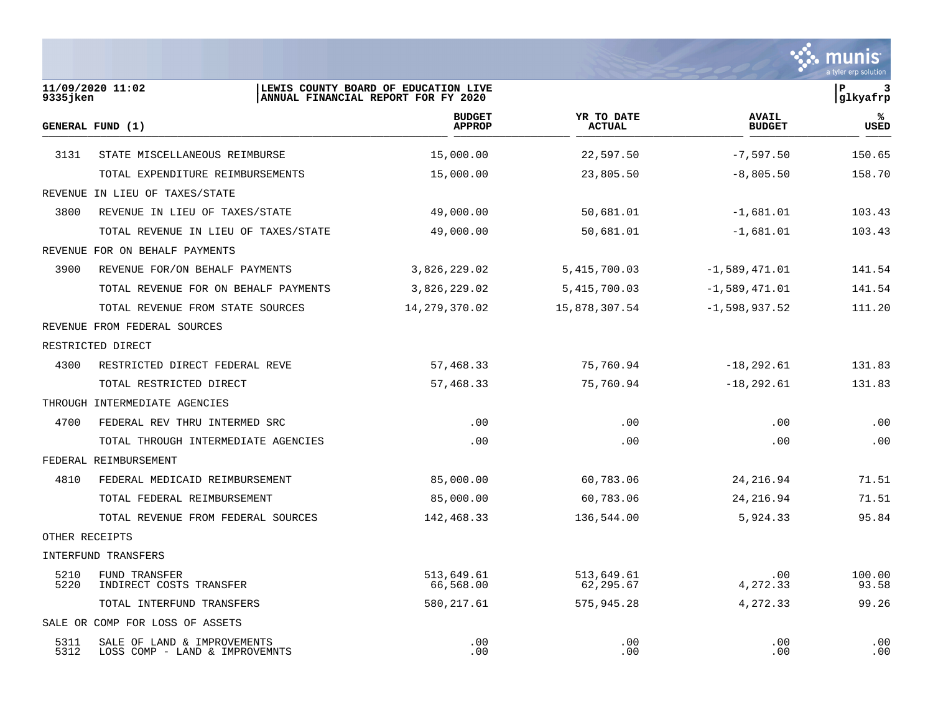

| 9335 jken      | 11/09/2020 11:02                                              | LEWIS COUNTY BOARD OF EDUCATION LIVE<br>ANNUAL FINANCIAL REPORT FOR FY 2020 |                             |                               | İР<br>3<br>glkyafrp |
|----------------|---------------------------------------------------------------|-----------------------------------------------------------------------------|-----------------------------|-------------------------------|---------------------|
|                | GENERAL FUND (1)                                              | <b>BUDGET</b><br><b>APPROP</b>                                              | YR TO DATE<br><b>ACTUAL</b> | <b>AVAIL</b><br><b>BUDGET</b> | ℁<br>USED           |
| 3131           | STATE MISCELLANEOUS REIMBURSE                                 | 15,000.00                                                                   | 22,597.50                   | $-7,597.50$                   | 150.65              |
|                | TOTAL EXPENDITURE REIMBURSEMENTS                              | 15,000.00                                                                   | 23,805.50                   | $-8,805.50$                   | 158.70              |
|                | REVENUE IN LIEU OF TAXES/STATE                                |                                                                             |                             |                               |                     |
| 3800           | REVENUE IN LIEU OF TAXES/STATE                                | 49,000.00                                                                   | 50,681.01                   | $-1,681.01$                   | 103.43              |
|                | TOTAL REVENUE IN LIEU OF TAXES/STATE                          | 49,000.00                                                                   | 50,681.01                   | $-1,681.01$                   | 103.43              |
|                | REVENUE FOR ON BEHALF PAYMENTS                                |                                                                             |                             |                               |                     |
| 3900           | REVENUE FOR/ON BEHALF PAYMENTS                                | 3,826,229.02                                                                | 5, 415, 700.03              | $-1,589,471.01$               | 141.54              |
|                | TOTAL REVENUE FOR ON BEHALF PAYMENTS                          | 3,826,229.02                                                                | 5, 415, 700.03              | $-1,589,471.01$               | 141.54              |
|                | TOTAL REVENUE FROM STATE SOURCES                              | 14,279,370.02                                                               | 15,878,307.54               | $-1,598,937.52$               | 111.20              |
|                | REVENUE FROM FEDERAL SOURCES                                  |                                                                             |                             |                               |                     |
|                | RESTRICTED DIRECT                                             |                                                                             |                             |                               |                     |
| 4300           | RESTRICTED DIRECT FEDERAL REVE                                | 57,468.33                                                                   | 75,760.94                   | $-18, 292.61$                 | 131.83              |
|                | TOTAL RESTRICTED DIRECT                                       | 57,468.33                                                                   | 75,760.94                   | $-18, 292.61$                 | 131.83              |
|                | THROUGH INTERMEDIATE AGENCIES                                 |                                                                             |                             |                               |                     |
| 4700           | FEDERAL REV THRU INTERMED SRC                                 | .00                                                                         | .00                         | .00                           | .00                 |
|                | TOTAL THROUGH INTERMEDIATE AGENCIES                           | .00                                                                         | .00                         | .00                           | .00                 |
|                | FEDERAL REIMBURSEMENT                                         |                                                                             |                             |                               |                     |
| 4810           | FEDERAL MEDICAID REIMBURSEMENT                                | 85,000.00                                                                   | 60,783.06                   | 24, 216.94                    | 71.51               |
|                | TOTAL FEDERAL REIMBURSEMENT                                   | 85,000.00                                                                   | 60,783.06                   | 24, 216.94                    | 71.51               |
|                | TOTAL REVENUE FROM FEDERAL SOURCES                            | 142,468.33                                                                  | 136,544.00                  | 5,924.33                      | 95.84               |
| OTHER RECEIPTS |                                                               |                                                                             |                             |                               |                     |
|                | INTERFUND TRANSFERS                                           |                                                                             |                             |                               |                     |
| 5210<br>5220   | FUND TRANSFER<br>INDIRECT COSTS TRANSFER                      | 513,649.61<br>66,568.00                                                     | 513,649.61<br>62,295.67     | .00<br>4,272.33               | 100.00<br>93.58     |
|                | TOTAL INTERFUND TRANSFERS                                     | 580, 217.61                                                                 | 575,945.28                  | 4,272.33                      | 99.26               |
|                | SALE OR COMP FOR LOSS OF ASSETS                               |                                                                             |                             |                               |                     |
| 5311<br>5312   | SALE OF LAND & IMPROVEMENTS<br>LOSS COMP - LAND & IMPROVEMNTS | .00<br>.00                                                                  | .00<br>.00                  | .00<br>.00                    | .00<br>.00          |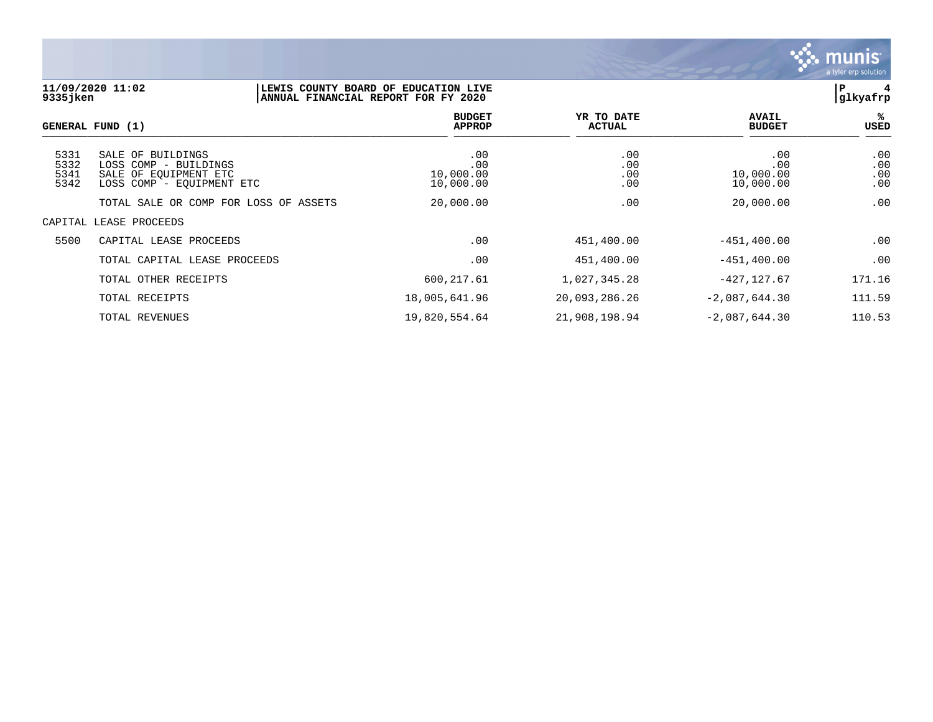

## **11/09/2020 11:02 |LEWIS COUNTY BOARD OF EDUCATION LIVE |P 4 9335jken |ANNUAL FINANCIAL REPORT FOR FY 2020 |glkyafrp**

|                              | GENERAL FUND (1)                                                                                 | <b>BUDGET</b><br><b>APPROP</b>       | YR TO DATE<br><b>ACTUAL</b> | <b>AVAIL</b><br><b>BUDGET</b>        | %ะ<br><b>USED</b>        |
|------------------------------|--------------------------------------------------------------------------------------------------|--------------------------------------|-----------------------------|--------------------------------------|--------------------------|
| 5331<br>5332<br>5341<br>5342 | SALE OF BUILDINGS<br>LOSS COMP - BUILDINGS<br>SALE OF EOUIPMENT ETC<br>LOSS COMP - EOUIPMENT ETC | .00<br>.00<br>10,000.00<br>10,000.00 | .00<br>.00<br>.00<br>.00    | .00<br>.00<br>10,000.00<br>10,000.00 | .00<br>.00<br>.00<br>.00 |
|                              | TOTAL SALE OR COMP FOR LOSS OF ASSETS                                                            | 20,000.00                            | .00                         | 20,000.00                            | .00                      |
|                              | CAPITAL LEASE PROCEEDS                                                                           |                                      |                             |                                      |                          |
| 5500                         | CAPITAL LEASE PROCEEDS                                                                           | .00                                  | 451,400.00                  | $-451, 400.00$                       | .00                      |
|                              | TOTAL CAPITAL LEASE PROCEEDS                                                                     | .00                                  | 451,400.00                  | $-451, 400.00$                       | .00                      |
|                              | TOTAL OTHER RECEIPTS                                                                             | 600,217.61                           | 1,027,345.28                | $-427, 127.67$                       | 171.16                   |
|                              | TOTAL RECEIPTS                                                                                   | 18,005,641.96                        | 20,093,286.26               | $-2,087,644.30$                      | 111.59                   |
|                              | TOTAL REVENUES                                                                                   | 19,820,554.64                        | 21,908,198.94               | $-2,087,644.30$                      | 110.53                   |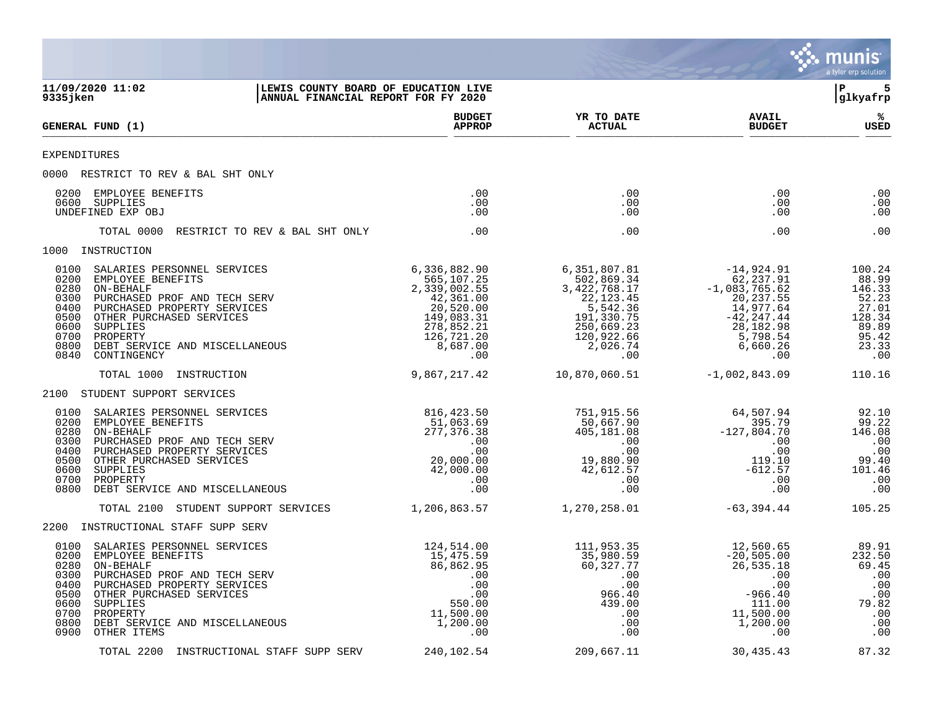|                                                                                                                                                                                                                                                                                                                   |                                                                                                                                   |                                                                                                                                  |                                                                                                                                       | munis<br>a tyler erp solution                                                           |
|-------------------------------------------------------------------------------------------------------------------------------------------------------------------------------------------------------------------------------------------------------------------------------------------------------------------|-----------------------------------------------------------------------------------------------------------------------------------|----------------------------------------------------------------------------------------------------------------------------------|---------------------------------------------------------------------------------------------------------------------------------------|-----------------------------------------------------------------------------------------|
| 11/09/2020 11:02<br>9335jken                                                                                                                                                                                                                                                                                      | LEWIS COUNTY BOARD OF EDUCATION LIVE<br>ANNUAL FINANCIAL REPORT FOR FY 2020                                                       |                                                                                                                                  |                                                                                                                                       | l P<br> glkyafrp                                                                        |
| GENERAL FUND (1)                                                                                                                                                                                                                                                                                                  | <b>BUDGET</b><br><b>APPROP</b>                                                                                                    | YR TO DATE<br><b>ACTUAL</b>                                                                                                      | <b>AVAIL</b><br><b>BUDGET</b>                                                                                                         | %<br><b>USED</b>                                                                        |
| EXPENDITURES                                                                                                                                                                                                                                                                                                      |                                                                                                                                   |                                                                                                                                  |                                                                                                                                       |                                                                                         |
| 0000 RESTRICT TO REV & BAL SHT ONLY                                                                                                                                                                                                                                                                               |                                                                                                                                   |                                                                                                                                  |                                                                                                                                       |                                                                                         |
| 0200<br>EMPLOYEE BENEFITS<br>0600<br>SUPPLIES<br>UNDEFINED EXP OBJ                                                                                                                                                                                                                                                | .00<br>.00<br>.00                                                                                                                 | .00<br>.00<br>.00                                                                                                                | .00<br>.00<br>.00                                                                                                                     | .00<br>.00<br>.00                                                                       |
| TOTAL 0000<br>RESTRICT TO REV & BAL SHT ONLY                                                                                                                                                                                                                                                                      | .00                                                                                                                               | .00                                                                                                                              | .00                                                                                                                                   | .00                                                                                     |
| 1000 INSTRUCTION                                                                                                                                                                                                                                                                                                  |                                                                                                                                   |                                                                                                                                  |                                                                                                                                       |                                                                                         |
| 0100<br>SALARIES PERSONNEL SERVICES<br>0200<br>EMPLOYEE BENEFITS<br>0280<br>ON-BEHALF<br>0300<br>PURCHASED PROF AND TECH SERV<br>0400<br>PURCHASED PROPERTY SERVICES<br>0500<br>OTHER PURCHASED SERVICES<br>0600<br>SUPPLIES<br>0700<br>PROPERTY<br>0800<br>DEBT SERVICE AND MISCELLANEOUS<br>0840<br>CONTINGENCY | 6,336,882.90<br>565,107.25<br>2,339,002.55<br>42,361.00<br>20,520.00<br>149,083.31<br>278,852.21<br>126,721.20<br>8,687.00<br>.00 | 6,351,807.81<br>502,869.34<br>3,422,768.17<br>22,123.45<br>5,542.36<br>191,330.75<br>250,669.23<br>120,922.66<br>2,026.74<br>.00 | $-14,924.91$<br>62, 237.91<br>$-1,083,765.62$<br>20, 237.55<br>14,977.64<br>$-42, 247.44$<br>28,182.98<br>5,798.54<br>6,660.26<br>.00 | 100.24<br>88.99<br>146.33<br>52.23<br>27.01<br>128.34<br>89.89<br>95.42<br>23.33<br>.00 |
| TOTAL 1000 INSTRUCTION                                                                                                                                                                                                                                                                                            | 9,867,217.42                                                                                                                      | 10,870,060.51                                                                                                                    | $-1,002,843.09$                                                                                                                       | 110.16                                                                                  |
| 2100 STUDENT SUPPORT SERVICES                                                                                                                                                                                                                                                                                     |                                                                                                                                   |                                                                                                                                  |                                                                                                                                       |                                                                                         |
| 0100<br>SALARIES PERSONNEL SERVICES<br>0200<br>EMPLOYEE BENEFITS<br>0280<br>ON-BEHALF<br>0300<br>PURCHASED PROF AND TECH SERV<br>0400<br>PURCHASED PROPERTY SERVICES<br>0500<br>OTHER PURCHASED SERVICES<br>0600<br>SUPPLIES<br>0700<br>PROPERTY<br>0800<br>DEBT SERVICE AND MISCELLANEOUS                        | 816, 423.50<br>51,063.69<br>277,376.38<br>.00<br>.00<br>20,000.00<br>42,000.00<br>.00<br>.00                                      | 751,915.56<br>50,667.90<br>405,181.08<br>$\cdot\,00$<br>.00<br>19,880.90<br>42,612.57<br>.00<br>.00                              | 64,507.94<br>395.79<br>$-127,804.70$<br>.00<br>.00<br>119.10<br>$-612.57$<br>.00<br>.00                                               | 92.10<br>99.22<br>146.08<br>.00<br>.00<br>99.40<br>101.46<br>.00<br>.00                 |
| TOTAL 2100 STUDENT SUPPORT SERVICES                                                                                                                                                                                                                                                                               | 1,206,863.57                                                                                                                      | 1,270,258.01                                                                                                                     | -63,394.44                                                                                                                            | 105.25                                                                                  |
| 2200 INSTRUCTIONAL STAFF SUPP SERV                                                                                                                                                                                                                                                                                |                                                                                                                                   |                                                                                                                                  |                                                                                                                                       |                                                                                         |
| 0100<br>SALARIES PERSONNEL SERVICES<br>0200<br>EMPLOYEE BENEFITS<br>0280<br>ON-BEHALF<br>0300<br>PURCHASED PROF AND TECH SERV<br>0400<br>PURCHASED PROPERTY SERVICES<br>0500<br>OTHER PURCHASED SERVICES<br>0600<br>SUPPLIES<br>0700<br>PROPERTY<br>0800<br>DEBT SERVICE AND MISCELLANEOUS<br>0900<br>OTHER ITEMS | 124,514.00<br>15,475.59<br>86,862.95<br>.00<br>.00<br>$.00\,$<br>550.00<br>11,500.00<br>1,200.00<br>.00                           | 111,953.35<br>35,980.59<br>60,327.77<br>.00<br>.00<br>966.40<br>439.00<br>.00<br>.00<br>.00                                      | 12,560.65<br>$-20,505.00$<br>26,535.18<br>.00<br>.00<br>$-966.40$<br>111.00<br>11,500.00<br>1,200.00<br>.00                           | 89.91<br>232.50<br>69.45<br>.00<br>.00<br>.00<br>79.82<br>.00<br>.00<br>.00             |
| TOTAL 2200 INSTRUCTIONAL STAFF SUPP SERV                                                                                                                                                                                                                                                                          | 240,102.54                                                                                                                        | 209,667.11                                                                                                                       | 30,435.43                                                                                                                             | 87.32                                                                                   |

and the contract of the contract of the contract of the contract of the contract of the contract of the contract of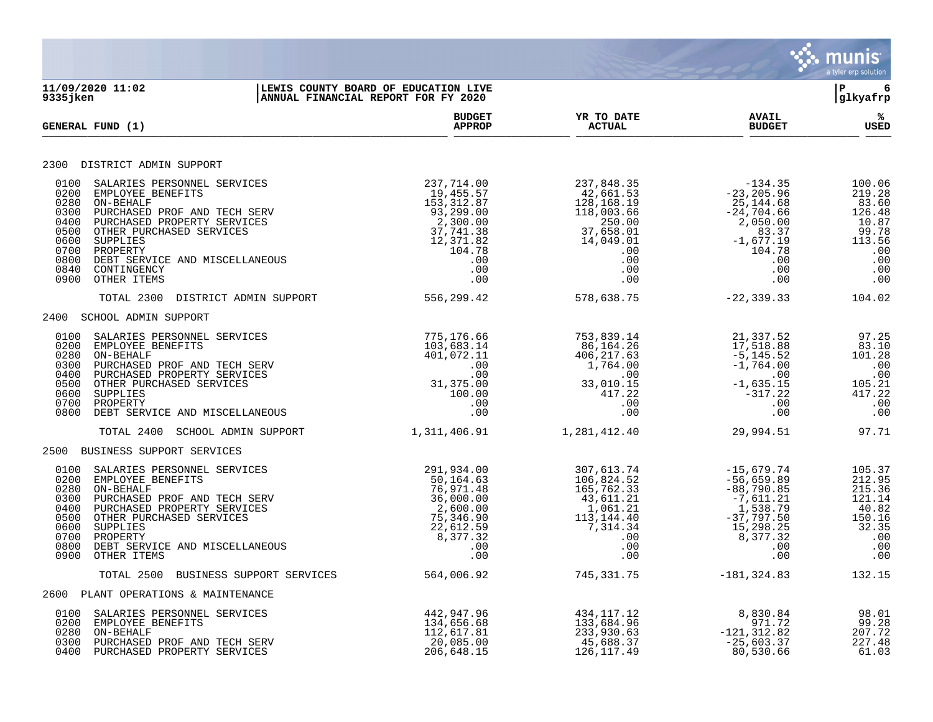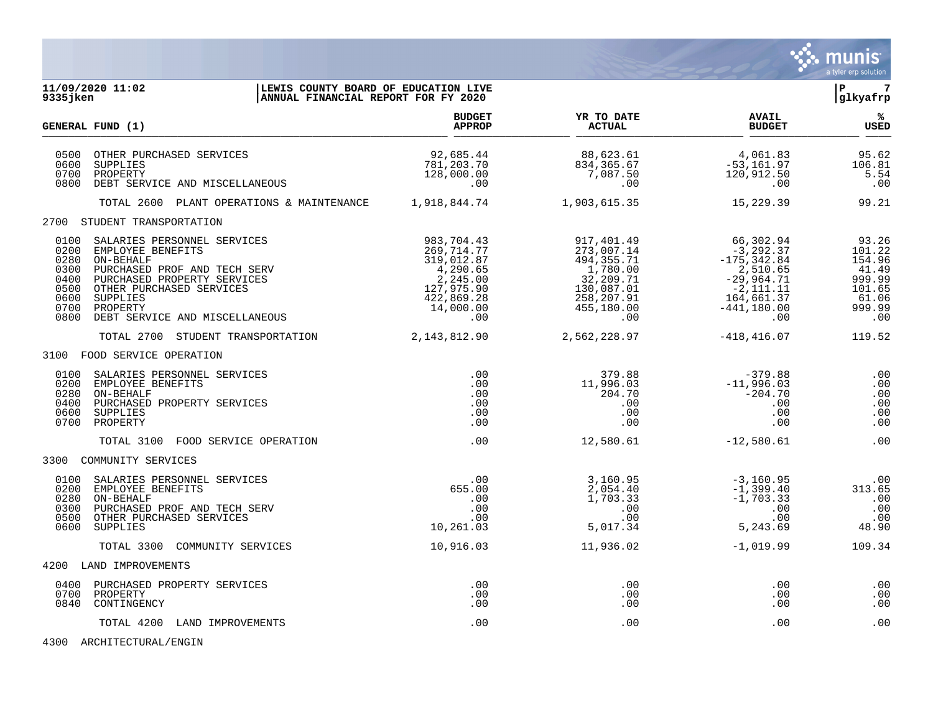

| 9335 jken                                                            | 11/09/2020 11:02                                                                                                                                                                                                   | LEWIS COUNTY BOARD OF EDUCATION LIVE<br>ANNUAL FINANCIAL REPORT FOR FY 2020                                    |                                                                                                                  |                                                                                                                               | l P<br>7<br> glkyafrp                                                            |  |
|----------------------------------------------------------------------|--------------------------------------------------------------------------------------------------------------------------------------------------------------------------------------------------------------------|----------------------------------------------------------------------------------------------------------------|------------------------------------------------------------------------------------------------------------------|-------------------------------------------------------------------------------------------------------------------------------|----------------------------------------------------------------------------------|--|
|                                                                      | GENERAL FUND (1)                                                                                                                                                                                                   | <b>BUDGET</b><br><b>APPROP</b>                                                                                 | YR TO DATE<br><b>ACTUAL</b>                                                                                      | <b>AVAIL</b><br><b>BUDGET</b>                                                                                                 | %ะ<br><b>USED</b>                                                                |  |
| 0500<br>0600<br>0700<br>0800                                         | OTHER PURCHASED SERVICES<br>SUPPLIES<br>PROPERTY<br>DEBT SERVICE AND MISCELLANEOUS                                                                                                                                 | 92,685.44<br>781,203.70<br>128,000.00<br>.00                                                                   | 88,623.61<br>834,365.67<br>7,087.50<br>.00                                                                       | 4,061.83<br>$-53,161.97$<br>120,912.50<br>.00                                                                                 | 95.62<br>106.81<br>5.54<br>.00                                                   |  |
|                                                                      | TOTAL 2600 PLANT OPERATIONS & MAINTENANCE 1,918,844.74                                                                                                                                                             |                                                                                                                | 1,903,615.35                                                                                                     | 15,229.39                                                                                                                     | 99.21                                                                            |  |
|                                                                      | 2700 STUDENT TRANSPORTATION                                                                                                                                                                                        |                                                                                                                |                                                                                                                  |                                                                                                                               |                                                                                  |  |
| 0100<br>0200<br>0280<br>0300<br>0400<br>0500<br>0600<br>0700<br>0800 | SALARIES PERSONNEL SERVICES<br>EMPLOYEE BENEFITS<br>ON-BEHALF<br>PURCHASED PROF AND TECH SERV<br>PURCHASED PROPERTY SERVICES<br>OTHER PURCHASED SERVICES<br>SUPPLIES<br>PROPERTY<br>DEBT SERVICE AND MISCELLANEOUS | 983,704.43<br>269,714.77<br>319,012.87<br>4,290.65<br>2,245.00<br>127,975.90<br>422,869.28<br>14,000.00<br>.00 | 917,401.49<br>273,007.14<br>494,355.71<br>1,780.00<br>32,209.71<br>130,087.01<br>258,207.91<br>455,180.00<br>.00 | 66,302.94<br>$-3, 292.37$<br>$-175, 342.84$<br>2,510.65<br>$-29,964.71$<br>$-2,111.11$<br>164,661.37<br>$-441, 180.00$<br>.00 | 93.26<br>101.22<br>154.96<br>41.49<br>999.99<br>101.65<br>61.06<br>999.99<br>.00 |  |
|                                                                      | TOTAL 2700 STUDENT TRANSPORTATION                                                                                                                                                                                  | 2, 143, 812.90                                                                                                 | 2,562,228.97                                                                                                     | $-418, 416.07$                                                                                                                | 119.52                                                                           |  |
|                                                                      | 3100 FOOD SERVICE OPERATION                                                                                                                                                                                        |                                                                                                                |                                                                                                                  |                                                                                                                               |                                                                                  |  |
| 0100<br>0200<br>0280<br>0400<br>0600<br>0700                         | SALARIES PERSONNEL SERVICES<br>EMPLOYEE BENEFITS<br>ON-BEHALF<br>PURCHASED PROPERTY SERVICES<br>SUPPLIES<br>PROPERTY                                                                                               | $.00 \,$<br>.00<br>.00<br>.00<br>.00<br>.00                                                                    | 379.88<br>11,996.03<br>204.70<br>.00<br>.00<br>.00                                                               | $-379.88$<br>$-11,996.03$<br>$-204.70$<br>.00<br>.00<br>$.00 \,$                                                              | .00<br>.00<br>.00<br>.00<br>.00<br>.00                                           |  |
|                                                                      | TOTAL 3100 FOOD SERVICE OPERATION                                                                                                                                                                                  | .00                                                                                                            | 12,580.61                                                                                                        | $-12,580.61$                                                                                                                  | .00                                                                              |  |
|                                                                      | 3300 COMMUNITY SERVICES                                                                                                                                                                                            |                                                                                                                |                                                                                                                  |                                                                                                                               |                                                                                  |  |
| 0100<br>0200<br>0280<br>0300<br>0500<br>0600                         | SALARIES PERSONNEL SERVICES<br>EMPLOYEE BENEFITS<br>ON-BEHALF<br>PURCHASED PROF AND TECH SERV<br>OTHER PURCHASED SERVICES<br>SUPPLIES                                                                              | .00<br>655.00<br>.00<br>.00<br>.00<br>10,261.03                                                                | 3,160.95<br>2,054.40<br>1,703.33<br>.00<br>.00<br>5,017.34                                                       | $-3,160.95$<br>$-1,399.40$<br>$-1,703.33$<br>.00<br>.00<br>5,243.69                                                           | .00<br>313.65<br>.00<br>.00<br>.00<br>48.90                                      |  |
|                                                                      | TOTAL 3300 COMMUNITY SERVICES                                                                                                                                                                                      | 10,916.03                                                                                                      | 11,936.02                                                                                                        | $-1,019.99$                                                                                                                   | 109.34                                                                           |  |
| 4200                                                                 | LAND IMPROVEMENTS                                                                                                                                                                                                  |                                                                                                                |                                                                                                                  |                                                                                                                               |                                                                                  |  |
| 0700<br>0840                                                         | 0400 PURCHASED PROPERTY SERVICES<br>PROPERTY<br>CONTINGENCY                                                                                                                                                        | .00<br>.00<br>.00                                                                                              | .00<br>.00<br>.00                                                                                                | $.00 \,$<br>.00<br>.00                                                                                                        | .00<br>.00<br>.00                                                                |  |
|                                                                      | TOTAL 4200 LAND IMPROVEMENTS                                                                                                                                                                                       | .00                                                                                                            | .00                                                                                                              | .00                                                                                                                           | .00                                                                              |  |

4300 ARCHITECTURAL/ENGIN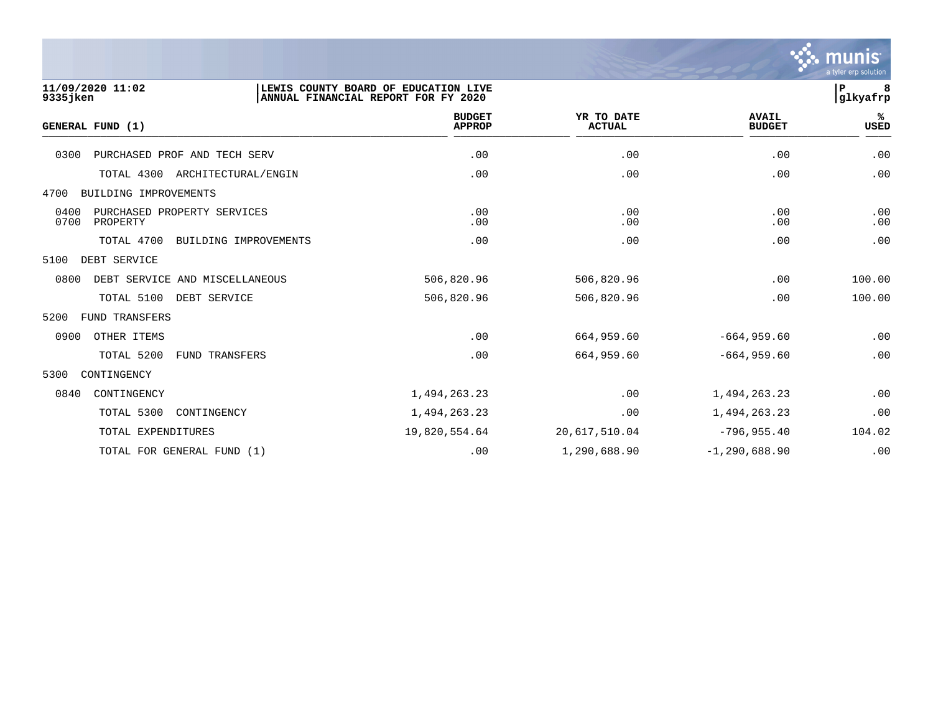

# **11/09/2020 11:02 |LEWIS COUNTY BOARD OF EDUCATION LIVE |P 8 9335jken |ANNUAL FINANCIAL REPORT FOR FY 2020 |glkyafrp BUDGET YR TO DATE AVAIL %**  $GENERAL FUND (1)$  $\frac{A_{\text{H}^{\text{F}}\text{N}}}{A_{\text{H}}\text{N}}$   $\frac{A_{\text{H}}\text{N}}{A_{\text{H}}\text{N}}$   $\frac{A_{\text{H}}\text{N}}{A_{\text{H}}\text{N}}$   $\frac{A_{\text{H}}\text{N}}{A_{\text{H}}\text{N}}$   $\frac{B_{\text{H}}\text{N}}{B_{\text{H}}\text{N}}$

| 0300<br>PURCHASED PROF AND TECH SERV                    | .00           | .00           | .00               | .00        |
|---------------------------------------------------------|---------------|---------------|-------------------|------------|
| TOTAL 4300<br>ARCHITECTURAL/ENGIN                       | .00           | .00           | .00               | .00        |
| 4700<br>BUILDING IMPROVEMENTS                           |               |               |                   |            |
| 0400<br>PURCHASED PROPERTY SERVICES<br>0700<br>PROPERTY | .00<br>.00    | .00<br>.00    | .00<br>.00        | .00<br>.00 |
| TOTAL 4700<br>BUILDING IMPROVEMENTS                     | .00           | .00           | .00               | .00        |
| 5100<br>DEBT SERVICE                                    |               |               |                   |            |
| 0800<br>DEBT SERVICE AND MISCELLANEOUS                  | 506,820.96    | 506,820.96    | .00               | 100.00     |
| TOTAL 5100<br>DEBT SERVICE                              | 506,820.96    | 506,820.96    | .00               | 100.00     |
| 5200<br><b>FUND TRANSFERS</b>                           |               |               |                   |            |
| 0900<br>OTHER ITEMS                                     | .00           | 664,959.60    | $-664,959.60$     | .00        |
| TOTAL 5200<br><b>FUND TRANSFERS</b>                     | .00           | 664,959.60    | $-664,959.60$     | .00        |
| 5300<br>CONTINGENCY                                     |               |               |                   |            |
| 0840<br>CONTINGENCY                                     | 1,494,263.23  | .00           | 1,494,263.23      | .00        |
| TOTAL 5300<br>CONTINGENCY                               | 1,494,263.23  | .00           | 1,494,263.23      | .00        |
| TOTAL EXPENDITURES                                      | 19,820,554.64 | 20,617,510.04 | $-796,955.40$     | 104.02     |
| TOTAL FOR GENERAL FUND (1)                              | .00           | 1,290,688.90  | $-1, 290, 688.90$ | .00        |
|                                                         |               |               |                   |            |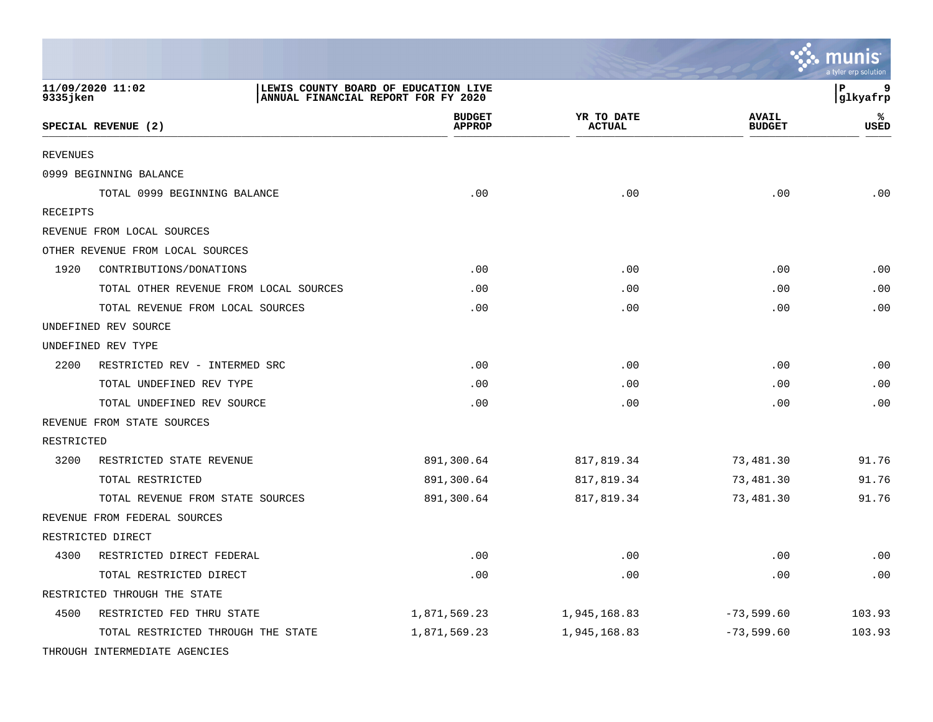|                               |                                        |                                      |                             |                               | munis<br>a tyler erp solution |
|-------------------------------|----------------------------------------|--------------------------------------|-----------------------------|-------------------------------|-------------------------------|
| 11/09/2020 11:02<br>9335 jken | ANNUAL FINANCIAL REPORT FOR FY 2020    | LEWIS COUNTY BOARD OF EDUCATION LIVE |                             |                               | lР<br>9<br> glkyafrp          |
| SPECIAL REVENUE (2)           |                                        | <b>BUDGET</b><br><b>APPROP</b>       | YR TO DATE<br><b>ACTUAL</b> | <b>AVAIL</b><br><b>BUDGET</b> | ℁<br><b>USED</b>              |
| <b>REVENUES</b>               |                                        |                                      |                             |                               |                               |
| 0999 BEGINNING BALANCE        |                                        |                                      |                             |                               |                               |
|                               | TOTAL 0999 BEGINNING BALANCE           | .00                                  | .00                         | .00                           | .00                           |
| RECEIPTS                      |                                        |                                      |                             |                               |                               |
| REVENUE FROM LOCAL SOURCES    |                                        |                                      |                             |                               |                               |
|                               | OTHER REVENUE FROM LOCAL SOURCES       |                                      |                             |                               |                               |
| 1920                          | CONTRIBUTIONS/DONATIONS                | .00                                  | .00                         | .00                           | $\boldsymbol{\mathsf{.00}}$   |
|                               | TOTAL OTHER REVENUE FROM LOCAL SOURCES | .00                                  | .00                         | .00                           | .00                           |
|                               | TOTAL REVENUE FROM LOCAL SOURCES       | .00                                  | .00                         | .00                           | .00                           |
| UNDEFINED REV SOURCE          |                                        |                                      |                             |                               |                               |
| UNDEFINED REV TYPE            |                                        |                                      |                             |                               |                               |
| 2200                          | RESTRICTED REV - INTERMED SRC          | .00                                  | .00                         | .00                           | $\boldsymbol{\mathsf{.00}}$   |
|                               | TOTAL UNDEFINED REV TYPE               | .00                                  | .00                         | .00                           | .00                           |
|                               | TOTAL UNDEFINED REV SOURCE             | .00                                  | .00                         | .00                           | .00                           |
| REVENUE FROM STATE SOURCES    |                                        |                                      |                             |                               |                               |
| RESTRICTED                    |                                        |                                      |                             |                               |                               |
| 3200                          | RESTRICTED STATE REVENUE               | 891,300.64                           | 817,819.34                  | 73,481.30                     | 91.76                         |
|                               | TOTAL RESTRICTED                       | 891,300.64                           | 817,819.34                  | 73,481.30                     | 91.76                         |
|                               | TOTAL REVENUE FROM STATE SOURCES       | 891,300.64                           | 817,819.34                  | 73,481.30                     | 91.76                         |
|                               | REVENUE FROM FEDERAL SOURCES           |                                      |                             |                               |                               |
| RESTRICTED DIRECT             |                                        |                                      |                             |                               |                               |
| 4300                          | RESTRICTED DIRECT FEDERAL              | .00                                  | .00                         | .00                           | .00                           |
|                               | TOTAL RESTRICTED DIRECT                | .00                                  | .00                         | .00                           | .00                           |
|                               | RESTRICTED THROUGH THE STATE           |                                      |                             |                               |                               |
| 4500                          | RESTRICTED FED THRU STATE              | 1,871,569.23                         | 1,945,168.83                | $-73,599.60$                  | 103.93                        |
|                               | TOTAL RESTRICTED THROUGH THE STATE     | 1,871,569.23                         | 1,945,168.83                | $-73,599.60$                  | 103.93                        |
|                               | THROUGH INTERMEDIATE AGENCIES          |                                      |                             |                               |                               |

**Designation**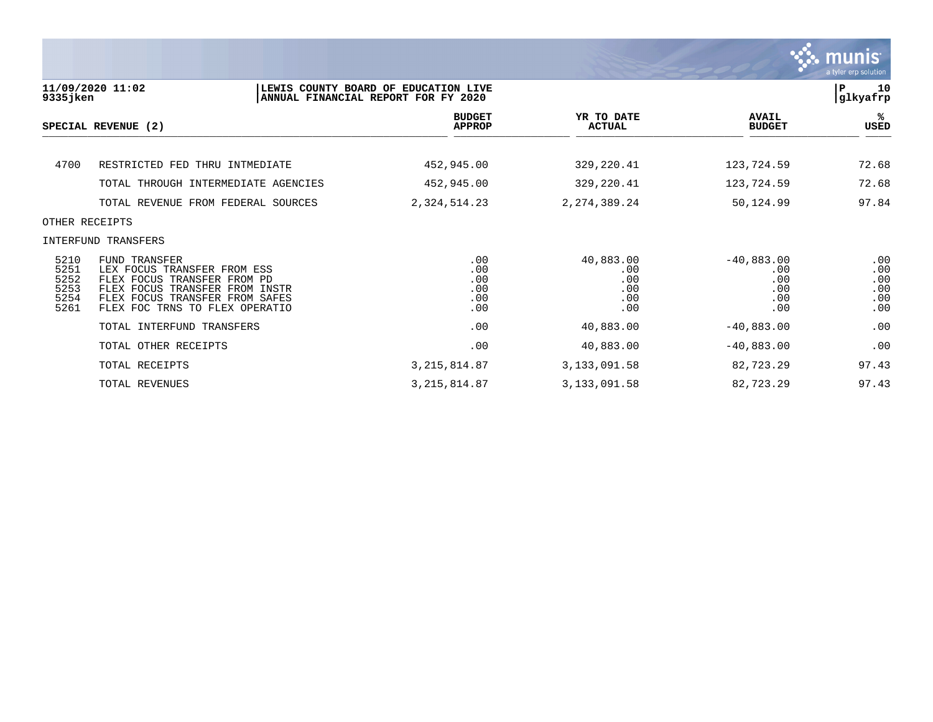

| 9335 jken                                    | 11/09/2020 11:02                                                                                                                                                                         | LEWIS COUNTY BOARD OF EDUCATION LIVE<br>ANNUAL FINANCIAL REPORT FOR FY 2020 |                                              |                                                 |                                        |  |
|----------------------------------------------|------------------------------------------------------------------------------------------------------------------------------------------------------------------------------------------|-----------------------------------------------------------------------------|----------------------------------------------|-------------------------------------------------|----------------------------------------|--|
|                                              | SPECIAL REVENUE (2)                                                                                                                                                                      | <b>BUDGET</b><br><b>APPROP</b>                                              | YR TO DATE<br><b>ACTUAL</b>                  | <b>AVAIL</b><br><b>BUDGET</b>                   | %ะ<br>USED                             |  |
| 4700                                         | RESTRICTED FED THRU INTMEDIATE                                                                                                                                                           | 452,945.00                                                                  | 329,220.41                                   | 123,724.59                                      | 72.68                                  |  |
|                                              | TOTAL THROUGH INTERMEDIATE AGENCIES                                                                                                                                                      | 452,945.00                                                                  | 329, 220.41                                  | 123,724.59                                      | 72.68                                  |  |
|                                              | TOTAL REVENUE FROM FEDERAL SOURCES                                                                                                                                                       | 2, 324, 514.23                                                              | 2, 274, 389. 24                              | 50,124.99                                       | 97.84                                  |  |
|                                              | OTHER RECEIPTS                                                                                                                                                                           |                                                                             |                                              |                                                 |                                        |  |
|                                              | INTERFUND TRANSFERS                                                                                                                                                                      |                                                                             |                                              |                                                 |                                        |  |
| 5210<br>5251<br>5252<br>5253<br>5254<br>5261 | <b>FUND TRANSFER</b><br>LEX FOCUS TRANSFER FROM ESS<br>FLEX FOCUS TRANSFER FROM PD<br>FLEX FOCUS TRANSFER FROM INSTR<br>FLEX FOCUS TRANSFER FROM SAFES<br>FLEX FOC TRNS TO FLEX OPERATIO | .00<br>.00<br>.00<br>.00<br>.00<br>.00                                      | 40,883.00<br>.00<br>.00<br>.00<br>.00<br>.00 | $-40,883.00$<br>.00<br>.00<br>.00<br>.00<br>.00 | .00<br>.00<br>.00<br>.00<br>.00<br>.00 |  |
|                                              | TOTAL INTERFUND TRANSFERS                                                                                                                                                                | .00                                                                         | 40,883.00                                    | $-40,883.00$                                    | .00                                    |  |
|                                              | TOTAL OTHER RECEIPTS                                                                                                                                                                     | .00                                                                         | 40,883.00                                    | $-40,883.00$                                    | .00                                    |  |
|                                              | TOTAL RECEIPTS                                                                                                                                                                           | 3, 215, 814.87                                                              | 3, 133, 091.58                               | 82,723.29                                       | 97.43                                  |  |
|                                              | TOTAL REVENUES                                                                                                                                                                           | 3, 215, 814.87                                                              | 3, 133, 091.58                               | 82,723.29                                       | 97.43                                  |  |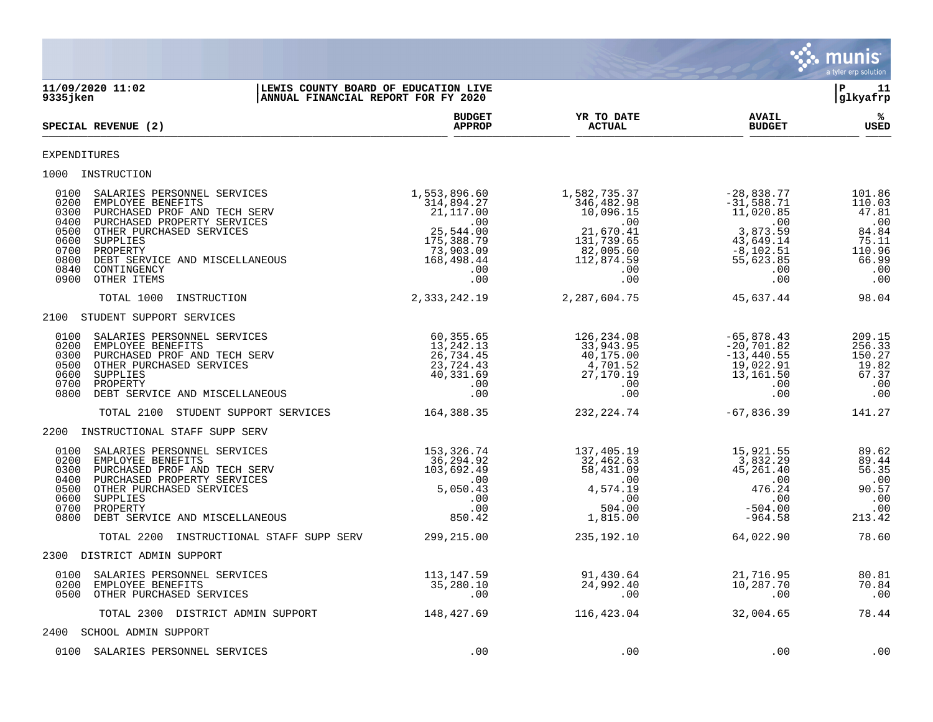

**11/09/2020 11:02 |LEWIS COUNTY BOARD OF EDUCATION LIVE |P 11 ANNUAL FINANCIAL REPORT FOR FY 2020 BUDGET YR TO DATE AVAIL %**  $SPECTAL REVIEW (2)$  $\frac{\text{AFR} + \text{R}}{\text{AFR}}$ EXPENDITURES 1000 INSTRUCTION 0100 SALARIES PERSONNEL SERVICES 1,553,896.60 1,582,735.37 -28,838.77 101.86 0200 EMPLOYEE BENEFITS 6 110.03 (314,894.27 546,482.98 -31,588.71 110.03 0300 PURCHASED PROF AND TECH SERV 21,117.00 10,096.15 11,020.85 47.81 0400 PURCHASED PROPERTY SERVICES .00 .00 .00 .00 0500 OTHER PURCHASED SERVICES 25,544.00 21,670.41 3,873.59 84.84 0600 SUPPLIES 175,388.79 131,739.65 43,649.14 75.11 0700 PROPERTY 73,903.09 82,005.60 -8,102.51 110.96 0800 DEBT SERVICE AND MISCELLANEOUS 168,498.44 112,874.59 55,623.85 66.99 0840 CONTINGENCY .00 .00 .00 .00 0900 OTHER ITEMS .00 .00 .00 .00 TOTAL 1000 INSTRUCTION 2,333,242.19 2,287,604.75 45,637.44 98.04 2100 STUDENT SUPPORT SERVICES 0100 SALARIES PERSONNEL SERVICES 60,355.65 126,234.08 -65,878.43 209.15 0200 EMPLOYEE BENEFITS 13,242.13 33,943.95 -20,701.82 256.33 0300 PURCHASED PROF AND TECH SERV  $26,734.45$   $40,175.00$   $-13,440.55$   $150.27$  0500 OTHER PURCHASED SERVICES 23,724.43 4,701.52 19,022.91 19.82 0600 SUPPLIES 40,331.69 27,170.19 13,161.50 67.37 0700 PROPERTY .00 .00 .00 .00 0800 DEBT SERVICE AND MISCELLANEOUS .00 .00 .00 .00 TOTAL 2100 STUDENT SUPPORT SERVICES 164,388.35 232,224.74 -67,836.39 141.27 2200 INSTRUCTIONAL STAFF SUPP SERV 0100 SALARIES PERSONNEL SERVICES 153,326.74 137,405.19 15,921.55 89.62 0200 EMPLOYEE BENEFITS 69.44 S6,294.92 36,294.92 32,462.63 32,462.63 3,832.29 3,832.29 3,832.29 3,832.29 3,832.29 3,832.29 3,832.29 3,832.29 3,832.29 3,832.29 3,832.29 3,832.29 3,832.29 3,832.29 3,832.29 3,832.29 3,832.29 0300 PURCHASED PROF AND TECH SERV 103,692.49 58,431.09 45,261.40 56.35 0400 PURCHASED PROPERTY SERVICES .00 .00 .00 .00 0500 OTHER PURCHASED SERVICES 5,050.43 4,574.19 476.24 90.57 0600 SUPPLIES .00 .00 .00 .00 0700 PROPERTY .00 504.00 -504.00 .00 0800 DEBT SERVICE AND MISCELLANEOUS 650.42 1,815.00 -964.58 213.42 TOTAL 2200 INSTRUCTIONAL STAFF SUPP SERV 299,215.00 235,192.10 64,022.90 78.60 2300 DISTRICT ADMIN SUPPORT 0100 SALARIES PERSONNEL SERVICES 113,147.59 91,430.64 21,716.95 80.81 0200 EMPLOYEE BENEFITS 35,280.10 24,992.40 10,287.70 70.84 0500 OTHER PURCHASED SERVICES .00 .00 .00 .00 TOTAL 2300 DISTRICT ADMIN SUPPORT 148,427.69 116,423.04 32,004.65 78.44 2400 SCHOOL ADMIN SUPPORT 0100 SALARIES PERSONNEL SERVICES .00 .00 .00 .00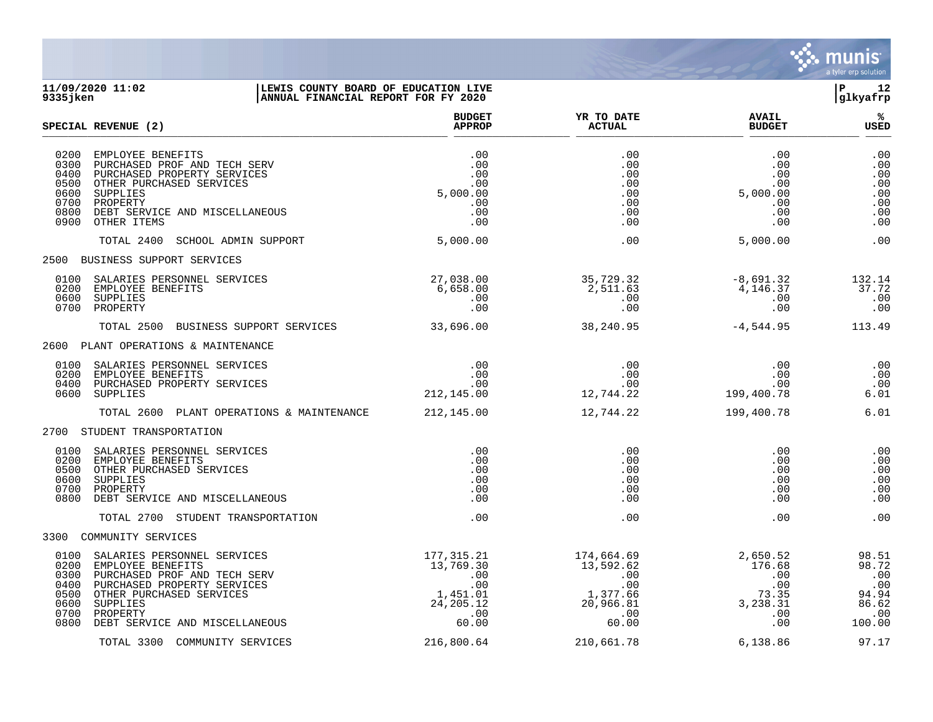

### **11/09/2020 11:02 |LEWIS COUNTY BOARD OF EDUCATION LIVE |P 12 9335jken |ANNUAL FINANCIAL REPORT FOR FY 2020 |glkyafrp**

|                                                              | SPECIAL REVENUE (2)                                                                                                                                                                                   | <b>BUDGET</b><br><b>APPROP</b>                                                   | YR TO DATE<br><b>ACTUAL</b>                                                         | <b>AVAIL</b><br><b>BUDGET</b>                                       | ℁<br>USED                                                               |
|--------------------------------------------------------------|-------------------------------------------------------------------------------------------------------------------------------------------------------------------------------------------------------|----------------------------------------------------------------------------------|-------------------------------------------------------------------------------------|---------------------------------------------------------------------|-------------------------------------------------------------------------|
| 0200<br>0300<br>0400<br>0500<br>0600<br>0700<br>0800<br>0900 | EMPLOYEE BENEFITS<br>PURCHASED PROF AND TECH SERV<br>PURCHASED PROPERTY SERVICES<br>OTHER PURCHASED SERVICES<br>SUPPLIES<br>PROPERTY<br>DEBT SERVICE AND MISCELLANEOUS<br>OTHER ITEMS                 | .00<br>.00<br>.00<br>.00<br>5,000.00<br>.00<br>.00<br>.00                        | .00<br>.00<br>.00<br>.00<br>.00<br>.00<br>.00<br>.00                                | .00<br>$.00 \,$<br>.00<br>.00<br>5,000.00<br>.00<br>.00<br>.00      | .00<br>.00<br>.00<br>.00<br>.00<br>.00<br>.00<br>.00                    |
|                                                              | TOTAL 2400<br>SCHOOL ADMIN SUPPORT                                                                                                                                                                    | 5,000.00                                                                         | .00                                                                                 | 5,000.00                                                            | .00                                                                     |
|                                                              | 2500 BUSINESS SUPPORT SERVICES                                                                                                                                                                        |                                                                                  |                                                                                     |                                                                     |                                                                         |
| 0100<br>0200<br>0600<br>0700                                 | SALARIES PERSONNEL SERVICES<br>EMPLOYEE BENEFITS<br>SUPPLIES<br>PROPERTY                                                                                                                              | 27,038.00<br>6,658.00<br>.00<br>.00                                              | 35,729.32<br>2,511.63<br>.00<br>.00                                                 | -8,691.32<br>4,146.37<br>$.00\,$<br>.00                             | 132.14<br>37.72<br>.00<br>.00                                           |
|                                                              | TOTAL 2500 BUSINESS SUPPORT SERVICES 33,696.00                                                                                                                                                        |                                                                                  | 38,240.95                                                                           | $-4,544.95$                                                         | 113.49                                                                  |
|                                                              | 2600 PLANT OPERATIONS & MAINTENANCE                                                                                                                                                                   |                                                                                  |                                                                                     |                                                                     |                                                                         |
| 0100<br>0200<br>0400<br>0600                                 | SALARIES PERSONNEL SERVICES<br>EMPLOYEE BENEFITS<br>PURCHASED PROPERTY SERVICES<br>SUPPLIES                                                                                                           | .00<br>.00<br>$.00$<br>212,145.00                                                | .00<br>.00<br>12,744.22                                                             | .00<br>.00<br>.00<br>199,400.78                                     | .00<br>.00<br>.00<br>6.01                                               |
|                                                              | TOTAL 2600 PLANT OPERATIONS & MAINTENANCE 212,145.00                                                                                                                                                  |                                                                                  | 12,744.22                                                                           | 199,400.78                                                          | 6.01                                                                    |
|                                                              | 2700 STUDENT TRANSPORTATION                                                                                                                                                                           |                                                                                  |                                                                                     |                                                                     |                                                                         |
| 0100<br>0200<br>0500<br>0600<br>0700<br>0800                 | SALARIES PERSONNEL SERVICES<br>EMPLOYEE BENEFITS<br>OTHER PURCHASED SERVICES<br>SUPPLIES<br>PROPERTY<br>DEBT SERVICE AND MISCELLANEOUS                                                                | .00<br>.00<br>.00<br>.00<br>.00<br>.00                                           | .00<br>.00<br>.00<br>.00<br>.00<br>.00                                              | .00<br>.00<br>.00<br>.00<br>.00<br>.00                              | .00<br>.00<br>.00<br>.00<br>.00<br>.00                                  |
|                                                              | TOTAL 2700 STUDENT TRANSPORTATION                                                                                                                                                                     | .00                                                                              | .00                                                                                 | .00                                                                 | .00                                                                     |
|                                                              | 3300 COMMUNITY SERVICES                                                                                                                                                                               |                                                                                  |                                                                                     |                                                                     |                                                                         |
| 0100<br>0200<br>0300<br>0400<br>0500<br>0600<br>0700<br>0800 | SALARIES PERSONNEL SERVICES<br>EMPLOYEE BENEFITS<br>PURCHASED PROF AND TECH SERV<br>PURCHASED PROPERTY SERVICES<br>OTHER PURCHASED SERVICES<br>SUPPLIES<br>PROPERTY<br>DEBT SERVICE AND MISCELLANEOUS | 177,315.21<br>13,769.30<br>.00<br>.00<br>1,451.01<br>24, 205. 12<br>.00<br>60.00 | 174,664.69<br>13,592.62<br>.00<br>$\begin{array}{c} .00 \\ 60 \end{array}$<br>60.00 | 2,650.52<br>176.68<br>.00<br>.00<br>73.35<br>3,238.31<br>.00<br>.00 | 98.51<br>98.72<br>.00<br>.00<br>94.94<br>86.62<br>$\ldots$ 00<br>100.00 |
|                                                              | TOTAL 3300 COMMUNITY SERVICES                                                                                                                                                                         | 216,800.64                                                                       | 210,661.78                                                                          | 6,138.86                                                            | 97.17                                                                   |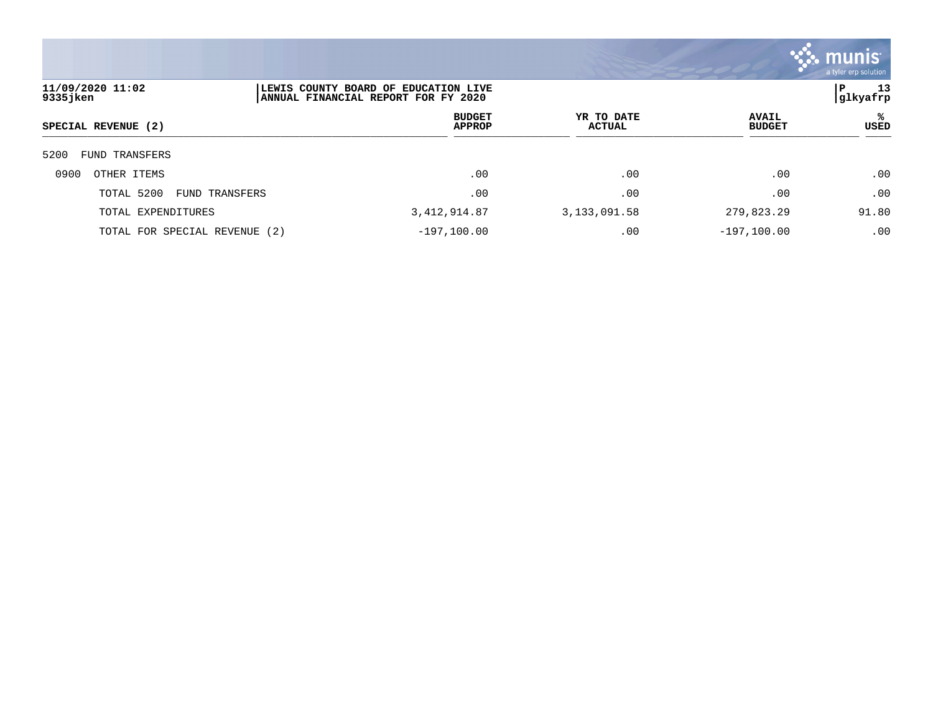

| 11/09/2020 11:02<br>9335jken  |  | LEWIS COUNTY BOARD OF EDUCATION LIVE<br>ANNUAL FINANCIAL REPORT FOR FY 2020 |                | 13<br>P<br> glkyafrp |                |           |
|-------------------------------|--|-----------------------------------------------------------------------------|----------------|----------------------|----------------|-----------|
| SPECIAL REVENUE (2)           |  | <b>BUDGET</b><br><b>APPROP</b>                                              |                | YR TO DATE<br>ACTUAL |                | ℁<br>USED |
| 5200<br>TRANSFERS<br>FUND     |  |                                                                             |                |                      |                |           |
| 0900<br>OTHER ITEMS           |  | .00                                                                         |                | .00                  | .00            | .00       |
| TOTAL 5200<br>FUND TRANSFERS  |  | .00                                                                         |                | .00                  | .00            | .00       |
| TOTAL EXPENDITURES            |  | 3, 412, 914.87                                                              | 3, 133, 091.58 |                      | 279,823.29     | 91.80     |
| TOTAL FOR SPECIAL REVENUE (2) |  | $-197,100.00$                                                               |                | .00                  | $-197, 100.00$ | .00       |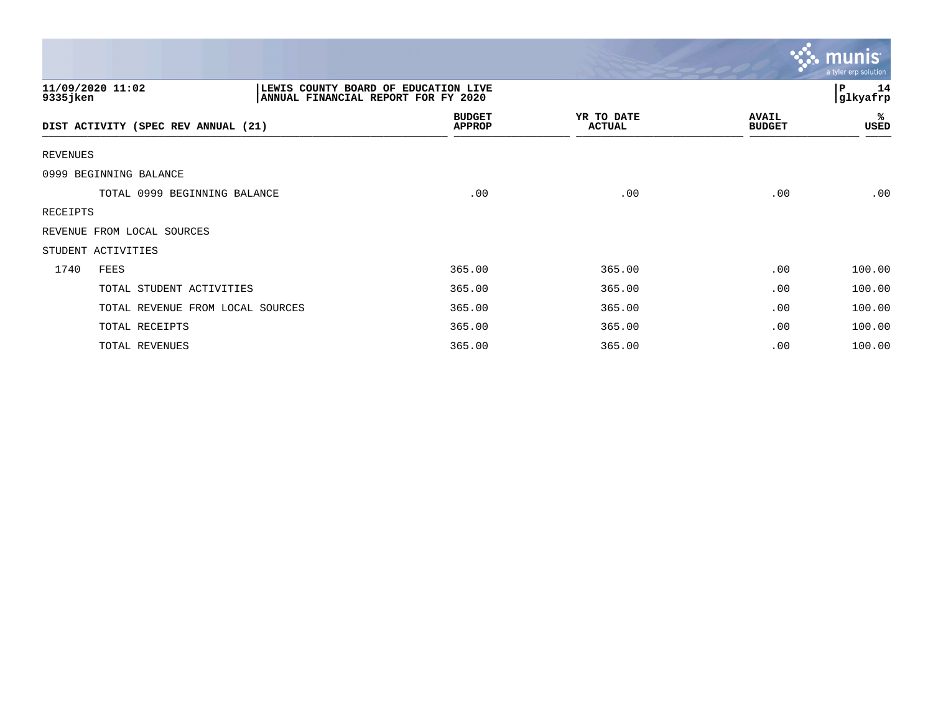|                                     |                                                                             |                             |                               | $\mathbf{\mathcal{C}}$ . munis<br>a tyler erp solution |
|-------------------------------------|-----------------------------------------------------------------------------|-----------------------------|-------------------------------|--------------------------------------------------------|
| 11/09/2020 11:02<br>9335jken        | LEWIS COUNTY BOARD OF EDUCATION LIVE<br>ANNUAL FINANCIAL REPORT FOR FY 2020 |                             |                               | 14<br>l P<br> glkyafrp                                 |
| DIST ACTIVITY (SPEC REV ANNUAL (21) | <b>BUDGET</b><br><b>APPROP</b>                                              | YR TO DATE<br><b>ACTUAL</b> | <b>AVAIL</b><br><b>BUDGET</b> | ℁<br>USED                                              |
| REVENUES                            |                                                                             |                             |                               |                                                        |
| 0999 BEGINNING BALANCE              |                                                                             |                             |                               |                                                        |
| TOTAL 0999 BEGINNING BALANCE        | .00                                                                         | .00                         | .00                           | .00                                                    |
| RECEIPTS                            |                                                                             |                             |                               |                                                        |
| REVENUE FROM LOCAL SOURCES          |                                                                             |                             |                               |                                                        |
| STUDENT ACTIVITIES                  |                                                                             |                             |                               |                                                        |
| 1740<br>FEES                        | 365.00                                                                      | 365.00                      | .00                           | 100.00                                                 |
| TOTAL STUDENT ACTIVITIES            | 365.00                                                                      | 365.00                      | .00                           | 100.00                                                 |
| TOTAL REVENUE FROM LOCAL SOURCES    | 365.00                                                                      | 365.00                      | .00                           | 100.00                                                 |
| TOTAL RECEIPTS                      | 365.00                                                                      | 365.00                      | .00                           | 100.00                                                 |
| TOTAL REVENUES                      | 365.00                                                                      | 365.00                      | .00                           | 100.00                                                 |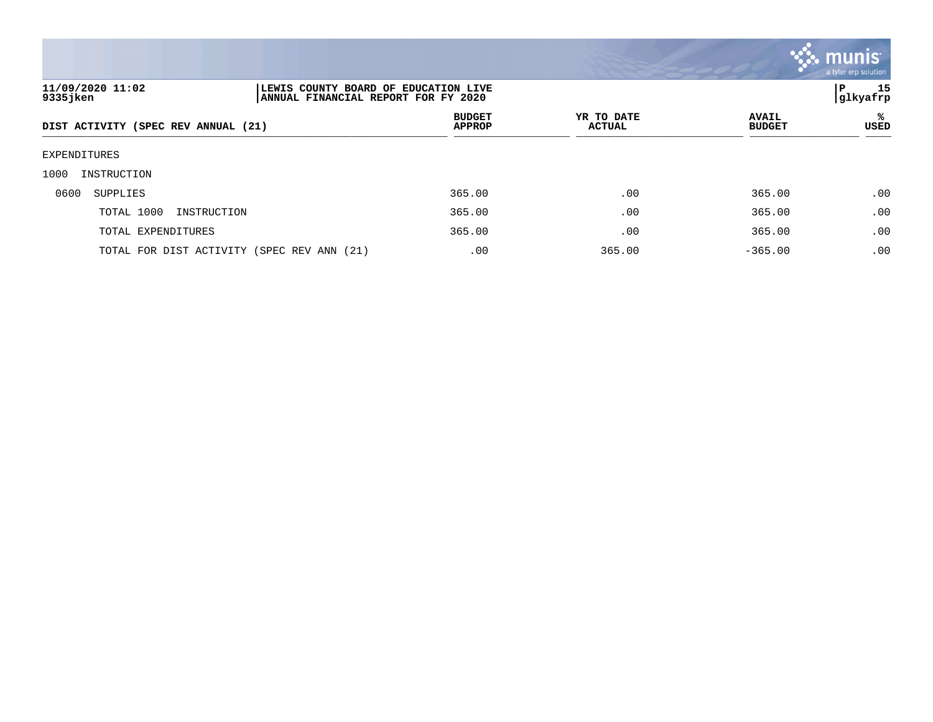

| 11/09/2020 11:02<br>9335 jken       | LEWIS COUNTY BOARD OF EDUCATION LIVE<br>ANNUAL FINANCIAL REPORT FOR FY 2020 |                                |                             |                               | 15<br>P<br>glkyafrp |
|-------------------------------------|-----------------------------------------------------------------------------|--------------------------------|-----------------------------|-------------------------------|---------------------|
| DIST ACTIVITY (SPEC REV ANNUAL (21) |                                                                             | <b>BUDGET</b><br><b>APPROP</b> | YR TO DATE<br><b>ACTUAL</b> | <b>AVAIL</b><br><b>BUDGET</b> | ℁<br><b>USED</b>    |
| EXPENDITURES                        |                                                                             |                                |                             |                               |                     |
| 1000<br>INSTRUCTION                 |                                                                             |                                |                             |                               |                     |
| 0600<br>SUPPLIES                    |                                                                             | 365.00                         | .00                         | 365.00                        | .00                 |
| TOTAL 1000<br>INSTRUCTION           |                                                                             | 365.00                         | .00                         | 365.00                        | .00                 |
| TOTAL EXPENDITURES                  |                                                                             | 365.00                         | .00                         | 365.00                        | .00                 |
|                                     | TOTAL FOR DIST ACTIVITY (SPEC REV ANN (21)                                  | .00                            | 365.00                      | $-365.00$                     | .00                 |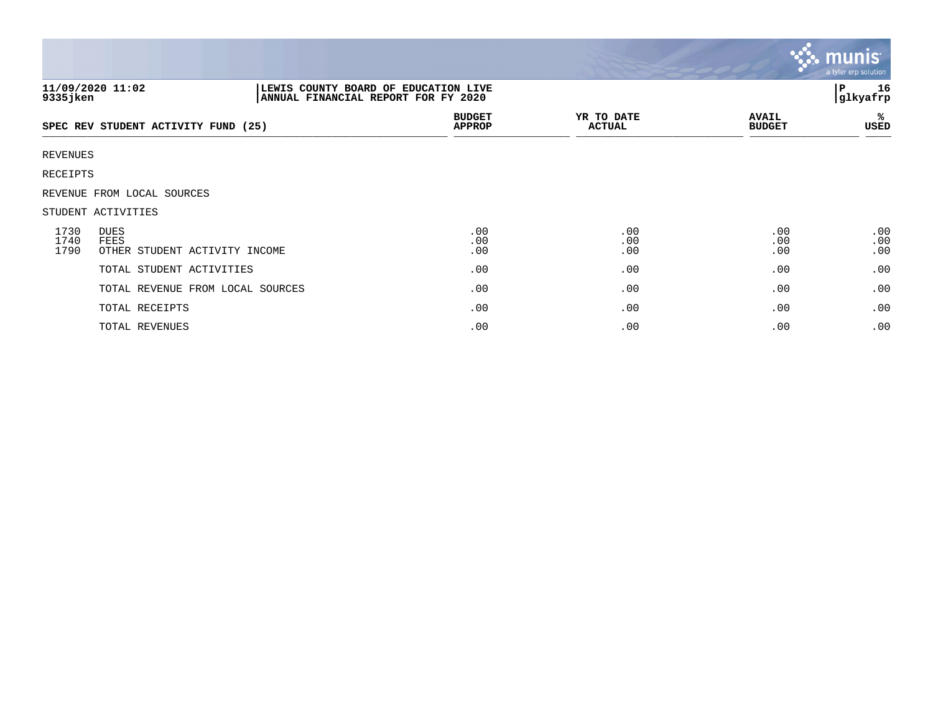|                      |                                                                                                 |                                |                             |                               | $\overline{\mathsf{m} \mathsf{u}}$ nıs $\overline{\phantom{a}}$<br>a tyler erp solution |
|----------------------|-------------------------------------------------------------------------------------------------|--------------------------------|-----------------------------|-------------------------------|-----------------------------------------------------------------------------------------|
| $9335$ jken          | 11/09/2020 11:02<br>LEWIS COUNTY BOARD OF EDUCATION LIVE<br>ANNUAL FINANCIAL REPORT FOR FY 2020 |                                |                             |                               | 16<br>P<br>glkyafrp                                                                     |
|                      | SPEC REV STUDENT ACTIVITY FUND (25)                                                             | <b>BUDGET</b><br><b>APPROP</b> | YR TO DATE<br><b>ACTUAL</b> | <b>AVAIL</b><br><b>BUDGET</b> | ℁<br>USED                                                                               |
| REVENUES             |                                                                                                 |                                |                             |                               |                                                                                         |
| RECEIPTS             |                                                                                                 |                                |                             |                               |                                                                                         |
|                      | REVENUE FROM LOCAL SOURCES                                                                      |                                |                             |                               |                                                                                         |
|                      | STUDENT ACTIVITIES                                                                              |                                |                             |                               |                                                                                         |
| 1730<br>1740<br>1790 | DUES<br>FEES<br>OTHER STUDENT ACTIVITY INCOME                                                   | .00<br>.00<br>.00              | .00<br>.00<br>.00           | .00<br>.00<br>.00             | .00<br>.00<br>.00                                                                       |
|                      | TOTAL STUDENT ACTIVITIES                                                                        | .00                            | .00                         | .00                           | .00                                                                                     |
|                      | TOTAL REVENUE FROM LOCAL SOURCES                                                                | .00                            | .00                         | .00                           | .00                                                                                     |
|                      | TOTAL RECEIPTS                                                                                  | .00                            | .00                         | .00                           | .00                                                                                     |
|                      | TOTAL REVENUES                                                                                  | .00                            | .00                         | .00                           | .00                                                                                     |

the contract of the contract of

a sa mga magaalang na mga magaalang ng mga magaalang ng mga magaalang ng magaalang ng magaalang ng magaalang n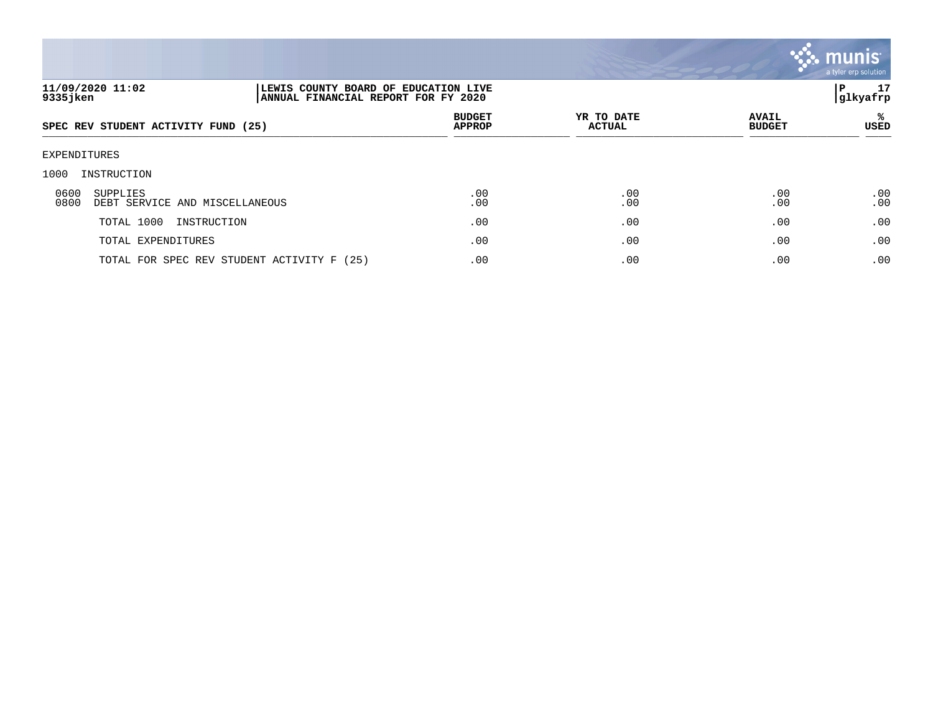

| 11/09/2020 11:02<br>9335 jken                              |      | LEWIS COUNTY BOARD OF EDUCATION LIVE<br>ANNUAL FINANCIAL REPORT FOR FY 2020 |                             |                               |                  |  |
|------------------------------------------------------------|------|-----------------------------------------------------------------------------|-----------------------------|-------------------------------|------------------|--|
| SPEC REV STUDENT ACTIVITY FUND (25)                        |      | <b>BUDGET</b><br><b>APPROP</b>                                              | YR TO DATE<br><b>ACTUAL</b> | <b>AVAIL</b><br><b>BUDGET</b> | ℁<br><b>USED</b> |  |
| EXPENDITURES                                               |      |                                                                             |                             |                               |                  |  |
| INSTRUCTION<br>1000                                        |      |                                                                             |                             |                               |                  |  |
| 0600<br>SUPPLIES<br>0800<br>DEBT SERVICE AND MISCELLANEOUS |      | .00<br>.00                                                                  | .00<br>.00                  | .00<br>.00                    | .00<br>.00       |  |
| TOTAL 1000<br>INSTRUCTION                                  |      | .00                                                                         | .00                         | .00                           | .00              |  |
| TOTAL EXPENDITURES                                         |      | .00                                                                         | .00                         | .00                           | .00              |  |
| TOTAL FOR SPEC REV STUDENT ACTIVITY F                      | (25) | .00                                                                         | .00                         | .00                           | .00              |  |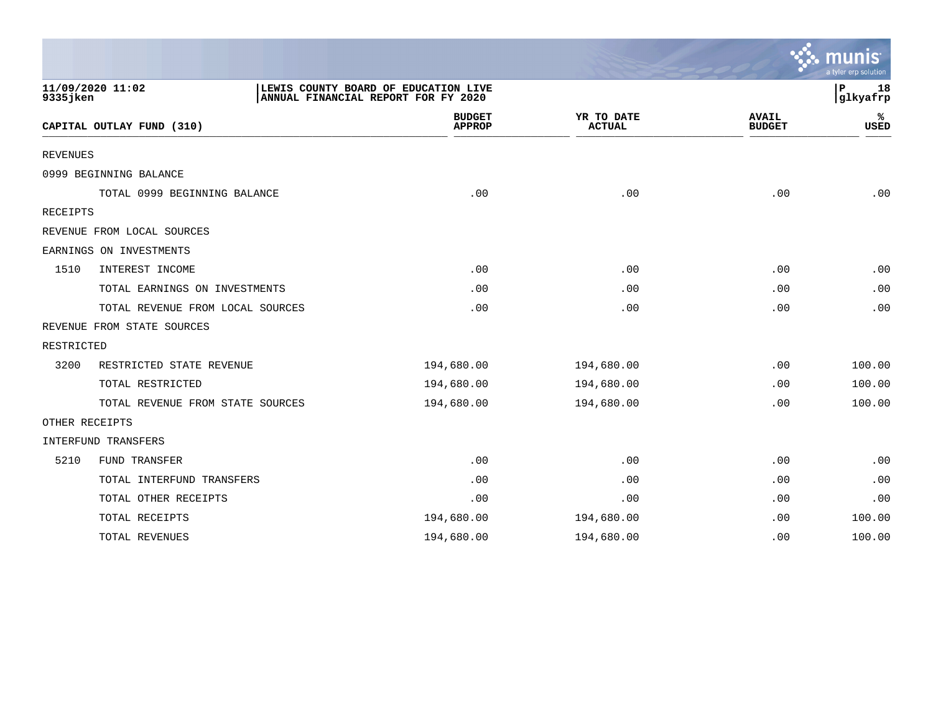|                 |                                  |                                                                             |                             |                               | munis<br>a tyler erp solution |
|-----------------|----------------------------------|-----------------------------------------------------------------------------|-----------------------------|-------------------------------|-------------------------------|
| 9335 jken       | 11/09/2020 11:02                 | LEWIS COUNTY BOARD OF EDUCATION LIVE<br>ANNUAL FINANCIAL REPORT FOR FY 2020 |                             |                               | P<br>18<br>glkyafrp           |
|                 | CAPITAL OUTLAY FUND (310)        | <b>BUDGET</b><br><b>APPROP</b>                                              | YR TO DATE<br><b>ACTUAL</b> | <b>AVAIL</b><br><b>BUDGET</b> | ℁<br>USED                     |
| <b>REVENUES</b> |                                  |                                                                             |                             |                               |                               |
|                 | 0999 BEGINNING BALANCE           |                                                                             |                             |                               |                               |
|                 | TOTAL 0999 BEGINNING BALANCE     | .00                                                                         | .00                         | .00                           | .00                           |
| <b>RECEIPTS</b> |                                  |                                                                             |                             |                               |                               |
|                 | REVENUE FROM LOCAL SOURCES       |                                                                             |                             |                               |                               |
|                 | EARNINGS ON INVESTMENTS          |                                                                             |                             |                               |                               |
| 1510            | INTEREST INCOME                  | .00                                                                         | .00                         | .00                           | .00                           |
|                 | TOTAL EARNINGS ON INVESTMENTS    | .00                                                                         | .00                         | .00                           | .00                           |
|                 | TOTAL REVENUE FROM LOCAL SOURCES | .00                                                                         | .00                         | .00                           | .00                           |
|                 | REVENUE FROM STATE SOURCES       |                                                                             |                             |                               |                               |
| RESTRICTED      |                                  |                                                                             |                             |                               |                               |
| 3200            | RESTRICTED STATE REVENUE         | 194,680.00                                                                  | 194,680.00                  | .00                           | 100.00                        |
|                 | TOTAL RESTRICTED                 | 194,680.00                                                                  | 194,680.00                  | .00                           | 100.00                        |
|                 | TOTAL REVENUE FROM STATE SOURCES | 194,680.00                                                                  | 194,680.00                  | .00                           | 100.00                        |
| OTHER RECEIPTS  |                                  |                                                                             |                             |                               |                               |
|                 | INTERFUND TRANSFERS              |                                                                             |                             |                               |                               |
| 5210            | FUND TRANSFER                    | .00                                                                         | .00                         | .00                           | .00                           |
|                 | TOTAL INTERFUND TRANSFERS        | .00                                                                         | .00                         | .00                           | .00                           |
|                 | TOTAL OTHER RECEIPTS             | .00                                                                         | .00                         | .00                           | .00                           |
|                 | TOTAL RECEIPTS                   | 194,680.00                                                                  | 194,680.00                  | .00                           | 100.00                        |
|                 | TOTAL REVENUES                   | 194,680.00                                                                  | 194,680.00                  | .00                           | 100.00                        |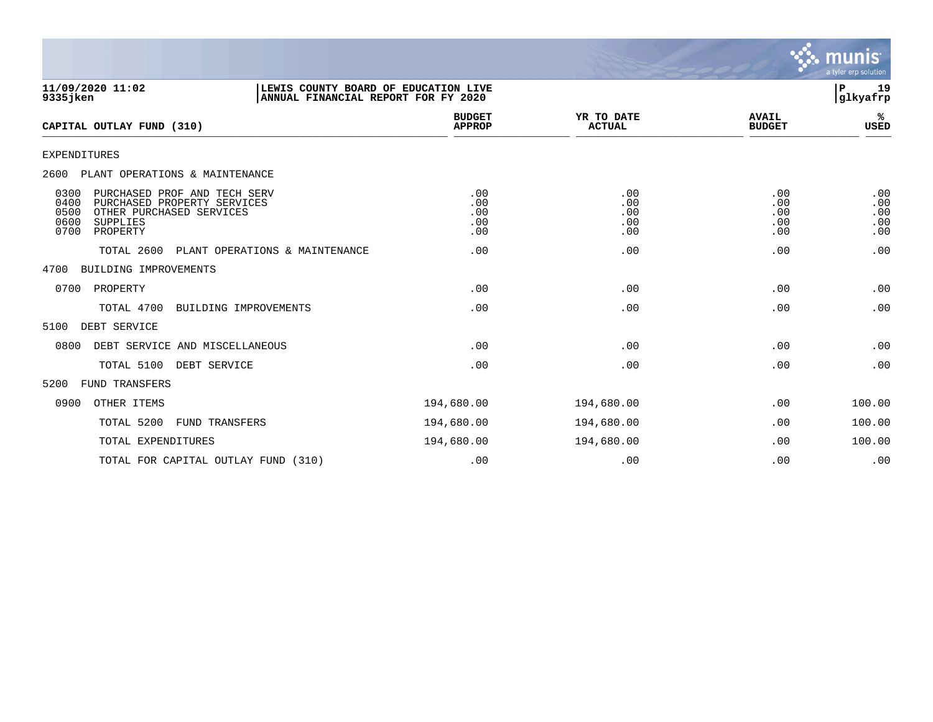

| 11/09/2020 11:02<br>9335 jken                                                                                                                           | LEWIS COUNTY BOARD OF EDUCATION LIVE<br>ANNUAL FINANCIAL REPORT FOR FY 2020 |                                 |                                 |                                 | 19<br>${\bf P}$<br>glkyafrp     |
|---------------------------------------------------------------------------------------------------------------------------------------------------------|-----------------------------------------------------------------------------|---------------------------------|---------------------------------|---------------------------------|---------------------------------|
| CAPITAL OUTLAY FUND (310)                                                                                                                               |                                                                             | <b>BUDGET</b><br><b>APPROP</b>  | YR TO DATE<br><b>ACTUAL</b>     | <b>AVAIL</b><br><b>BUDGET</b>   | %<br>USED                       |
| <b>EXPENDITURES</b>                                                                                                                                     |                                                                             |                                 |                                 |                                 |                                 |
| 2600<br>PLANT OPERATIONS & MAINTENANCE                                                                                                                  |                                                                             |                                 |                                 |                                 |                                 |
| 0300<br>PURCHASED PROF AND TECH SERV<br>PURCHASED PROPERTY SERVICES<br>0400<br>0500<br>OTHER PURCHASED SERVICES<br>0600<br>SUPPLIES<br>0700<br>PROPERTY |                                                                             | .00<br>.00<br>.00<br>.00<br>.00 | .00<br>.00<br>.00<br>.00<br>.00 | .00<br>.00<br>.00<br>.00<br>.00 | .00<br>.00<br>.00<br>.00<br>.00 |
| TOTAL 2600                                                                                                                                              | PLANT OPERATIONS & MAINTENANCE                                              | .00                             | .00                             | .00                             | .00                             |
| 4700<br>BUILDING IMPROVEMENTS                                                                                                                           |                                                                             |                                 |                                 |                                 |                                 |
| 0700<br>PROPERTY                                                                                                                                        |                                                                             | .00                             | .00                             | .00                             | .00                             |
| TOTAL 4700                                                                                                                                              | BUILDING IMPROVEMENTS                                                       | .00                             | .00                             | .00                             | .00                             |
| 5100<br>DEBT SERVICE                                                                                                                                    |                                                                             |                                 |                                 |                                 |                                 |
| 0800<br>DEBT SERVICE AND MISCELLANEOUS                                                                                                                  |                                                                             | .00                             | .00                             | .00                             | .00                             |
| TOTAL 5100 DEBT SERVICE                                                                                                                                 |                                                                             | .00                             | .00                             | .00                             | .00                             |
| 5200<br><b>FUND TRANSFERS</b>                                                                                                                           |                                                                             |                                 |                                 |                                 |                                 |
| 0900<br>OTHER ITEMS                                                                                                                                     |                                                                             | 194,680.00                      | 194,680.00                      | .00                             | 100.00                          |
| TOTAL 5200<br>FUND TRANSFERS                                                                                                                            |                                                                             | 194,680.00                      | 194,680.00                      | .00                             | 100.00                          |
| TOTAL EXPENDITURES                                                                                                                                      |                                                                             | 194,680.00                      | 194,680.00                      | .00                             | 100.00                          |
| TOTAL FOR CAPITAL OUTLAY FUND (310)                                                                                                                     |                                                                             | .00                             | .00                             | .00                             | .00                             |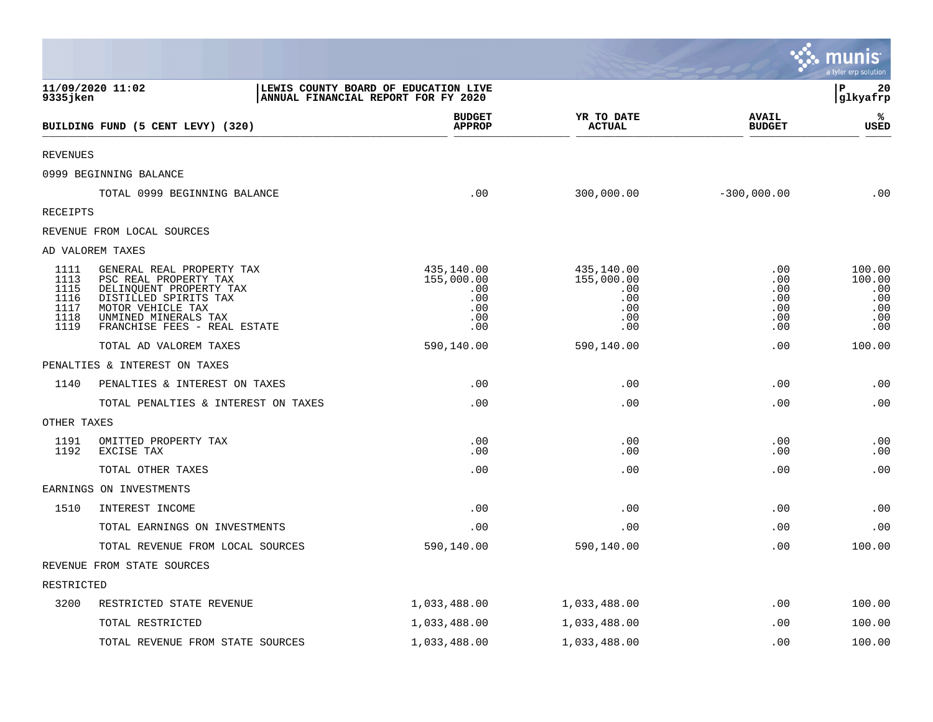|                                                      |                                                                                                                                                                                     |                                                                             |                                                             |                                               | munis<br>a tyler erp solution                       |
|------------------------------------------------------|-------------------------------------------------------------------------------------------------------------------------------------------------------------------------------------|-----------------------------------------------------------------------------|-------------------------------------------------------------|-----------------------------------------------|-----------------------------------------------------|
| 9335 jken                                            | 11/09/2020 11:02                                                                                                                                                                    | LEWIS COUNTY BOARD OF EDUCATION LIVE<br>ANNUAL FINANCIAL REPORT FOR FY 2020 |                                                             |                                               | $\mathbf P$<br>20<br>glkyafrp                       |
|                                                      | BUILDING FUND (5 CENT LEVY) (320)                                                                                                                                                   | <b>BUDGET</b><br><b>APPROP</b>                                              | YR TO DATE<br><b>ACTUAL</b>                                 | <b>AVAIL</b><br><b>BUDGET</b>                 | %<br>USED                                           |
| <b>REVENUES</b>                                      |                                                                                                                                                                                     |                                                                             |                                                             |                                               |                                                     |
|                                                      | 0999 BEGINNING BALANCE                                                                                                                                                              |                                                                             |                                                             |                                               |                                                     |
|                                                      | TOTAL 0999 BEGINNING BALANCE                                                                                                                                                        | .00                                                                         | 300,000.00                                                  | $-300,000.00$                                 | .00                                                 |
| RECEIPTS                                             |                                                                                                                                                                                     |                                                                             |                                                             |                                               |                                                     |
|                                                      | REVENUE FROM LOCAL SOURCES                                                                                                                                                          |                                                                             |                                                             |                                               |                                                     |
|                                                      | AD VALOREM TAXES                                                                                                                                                                    |                                                                             |                                                             |                                               |                                                     |
| 1111<br>1113<br>1115<br>1116<br>1117<br>1118<br>1119 | GENERAL REAL PROPERTY TAX<br>PSC REAL PROPERTY TAX<br>DELINQUENT PROPERTY TAX<br>DISTILLED SPIRITS TAX<br>MOTOR VEHICLE TAX<br>UNMINED MINERALS TAX<br>FRANCHISE FEES - REAL ESTATE | 435,140.00<br>155,000.00<br>.00<br>.00<br>.00<br>.00<br>.00                 | 435,140.00<br>155,000.00<br>.00<br>.00<br>.00<br>.00<br>.00 | .00<br>.00<br>.00<br>.00<br>.00<br>.00<br>.00 | 100.00<br>100.00<br>.00<br>.00<br>.00<br>.00<br>.00 |
|                                                      | TOTAL AD VALOREM TAXES                                                                                                                                                              | 590,140.00                                                                  | 590,140.00                                                  | .00                                           | 100.00                                              |
|                                                      | PENALTIES & INTEREST ON TAXES                                                                                                                                                       |                                                                             |                                                             |                                               |                                                     |
| 1140                                                 | PENALTIES & INTEREST ON TAXES                                                                                                                                                       | .00                                                                         | .00                                                         | .00                                           | .00                                                 |
|                                                      | TOTAL PENALTIES & INTEREST ON TAXES                                                                                                                                                 | .00                                                                         | .00                                                         | .00                                           | .00                                                 |
| OTHER TAXES                                          |                                                                                                                                                                                     |                                                                             |                                                             |                                               |                                                     |
| 1191<br>1192                                         | OMITTED PROPERTY TAX<br>EXCISE TAX                                                                                                                                                  | .00<br>.00                                                                  | .00<br>.00                                                  | .00<br>.00                                    | .00<br>.00                                          |
|                                                      | TOTAL OTHER TAXES                                                                                                                                                                   | .00                                                                         | .00                                                         | .00                                           | .00                                                 |
|                                                      | EARNINGS ON INVESTMENTS                                                                                                                                                             |                                                                             |                                                             |                                               |                                                     |
| 1510                                                 | INTEREST INCOME                                                                                                                                                                     | .00                                                                         | .00                                                         | .00                                           | .00                                                 |
|                                                      | TOTAL EARNINGS ON INVESTMENTS                                                                                                                                                       | .00                                                                         | .00                                                         | .00                                           | .00                                                 |
|                                                      | TOTAL REVENUE FROM LOCAL SOURCES                                                                                                                                                    | 590,140.00                                                                  | 590,140.00                                                  | .00                                           | 100.00                                              |
|                                                      | REVENUE FROM STATE SOURCES                                                                                                                                                          |                                                                             |                                                             |                                               |                                                     |
| RESTRICTED                                           |                                                                                                                                                                                     |                                                                             |                                                             |                                               |                                                     |
| 3200                                                 | RESTRICTED STATE REVENUE                                                                                                                                                            | 1,033,488.00                                                                | 1,033,488.00                                                | .00                                           | 100.00                                              |
|                                                      | TOTAL RESTRICTED                                                                                                                                                                    | 1,033,488.00                                                                | 1,033,488.00                                                | .00                                           | 100.00                                              |
|                                                      | TOTAL REVENUE FROM STATE SOURCES                                                                                                                                                    | 1,033,488.00                                                                | 1,033,488.00                                                | .00                                           | 100.00                                              |

a sa mga magaalang na mga magaalang ng mga magaalang ng mga magaalang ng magaalang ng magaalang ng magaalang n

the property of the control of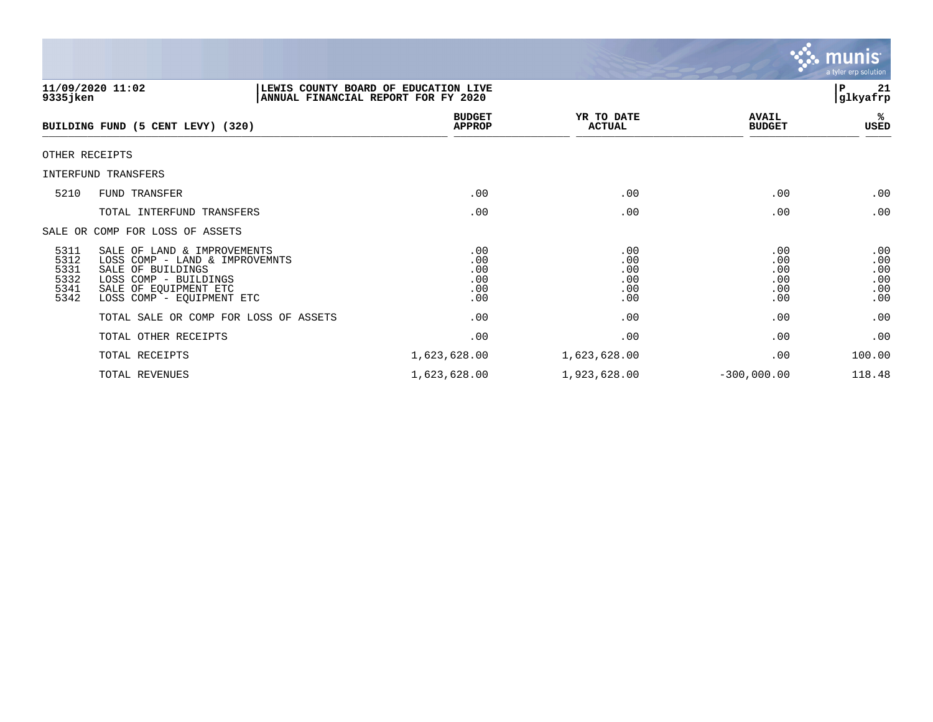

| 9335 jken                                    | 11/09/2020 11:02                                                                                                                                                  | LEWIS COUNTY BOARD OF EDUCATION LIVE<br>ANNUAL FINANCIAL REPORT FOR FY 2020 |                                        |                                        | 21<br>P<br> glkyafrp                   |
|----------------------------------------------|-------------------------------------------------------------------------------------------------------------------------------------------------------------------|-----------------------------------------------------------------------------|----------------------------------------|----------------------------------------|----------------------------------------|
|                                              | BUILDING FUND (5 CENT LEVY) (320)                                                                                                                                 | <b>BUDGET</b><br><b>APPROP</b>                                              | YR TO DATE<br><b>ACTUAL</b>            | <b>AVAIL</b><br><b>BUDGET</b>          | %ะ<br>USED                             |
|                                              | OTHER RECEIPTS                                                                                                                                                    |                                                                             |                                        |                                        |                                        |
|                                              | INTERFUND TRANSFERS                                                                                                                                               |                                                                             |                                        |                                        |                                        |
| 5210                                         | FUND TRANSFER                                                                                                                                                     | .00                                                                         | .00                                    | .00                                    | .00                                    |
|                                              | TOTAL INTERFUND TRANSFERS                                                                                                                                         | .00                                                                         | .00                                    | .00                                    | .00                                    |
|                                              | SALE OR COMP FOR LOSS OF ASSETS                                                                                                                                   |                                                                             |                                        |                                        |                                        |
| 5311<br>5312<br>5331<br>5332<br>5341<br>5342 | SALE OF LAND & IMPROVEMENTS<br>LOSS COMP - LAND & IMPROVEMNTS<br>SALE OF BUILDINGS<br>LOSS COMP - BUILDINGS<br>SALE OF EQUIPMENT ETC<br>LOSS COMP - EQUIPMENT ETC | .00<br>.00<br>.00<br>.00<br>.00<br>.00                                      | .00<br>.00<br>.00<br>.00<br>.00<br>.00 | .00<br>.00<br>.00<br>.00<br>.00<br>.00 | .00<br>.00<br>.00<br>.00<br>.00<br>.00 |
|                                              | TOTAL SALE OR COMP FOR LOSS OF ASSETS                                                                                                                             | .00                                                                         | .00                                    | .00                                    | .00                                    |
|                                              | TOTAL OTHER RECEIPTS                                                                                                                                              | .00                                                                         | .00                                    | .00                                    | .00                                    |
|                                              | TOTAL RECEIPTS                                                                                                                                                    | 1,623,628.00                                                                | 1,623,628.00                           | .00                                    | 100.00                                 |
|                                              | TOTAL REVENUES                                                                                                                                                    | 1,623,628.00                                                                | 1,923,628.00                           | $-300,000.00$                          | 118.48                                 |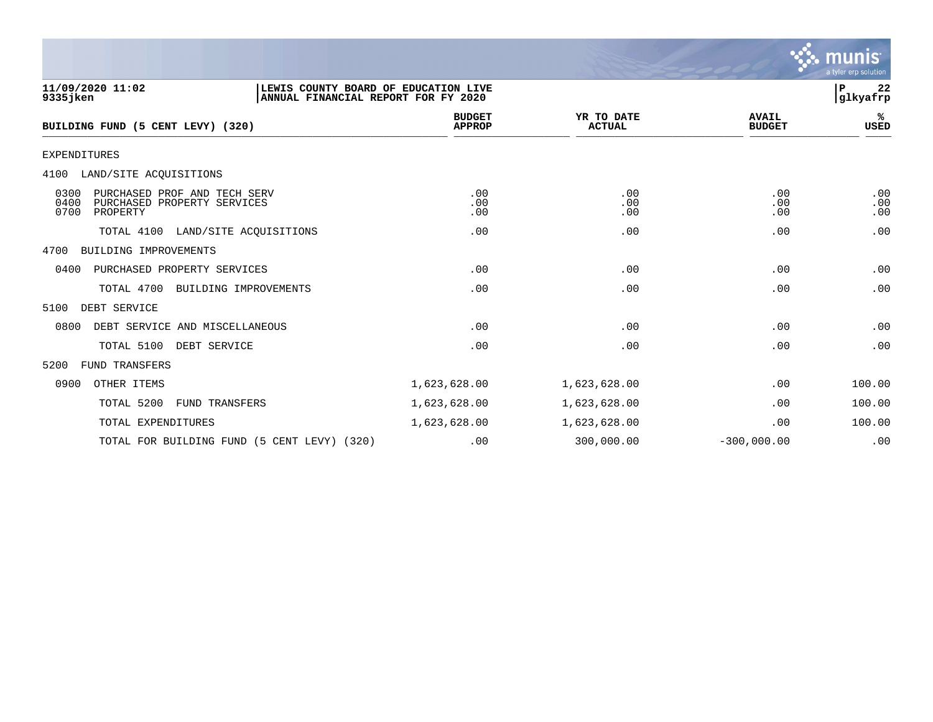

| 11/09/2020 11:02<br>LEWIS COUNTY BOARD OF EDUCATION LIVE<br>9335 jken<br>ANNUAL FINANCIAL REPORT FOR FY 2020 |                                |                             |                               | 22<br>P<br>glkyafrp |
|--------------------------------------------------------------------------------------------------------------|--------------------------------|-----------------------------|-------------------------------|---------------------|
| BUILDING FUND (5 CENT LEVY) (320)                                                                            | <b>BUDGET</b><br><b>APPROP</b> | YR TO DATE<br><b>ACTUAL</b> | <b>AVAIL</b><br><b>BUDGET</b> | %≽<br>USED          |
| <b>EXPENDITURES</b>                                                                                          |                                |                             |                               |                     |
| 4100 LAND/SITE ACOUISITIONS                                                                                  |                                |                             |                               |                     |
| PURCHASED PROF AND TECH SERV<br>0300<br>0400<br>PURCHASED PROPERTY SERVICES<br>0700<br>PROPERTY              | .00<br>.00<br>.00              | .00<br>.00<br>.00           | .00<br>.00<br>.00             | .00<br>.00<br>.00   |
| TOTAL 4100 LAND/SITE ACOUISITIONS                                                                            | .00                            | .00                         | .00                           | .00                 |
| BUILDING IMPROVEMENTS<br>4700                                                                                |                                |                             |                               |                     |
| 0400<br>PURCHASED PROPERTY SERVICES                                                                          | .00                            | .00                         | .00                           | .00                 |
| TOTAL 4700<br>BUILDING IMPROVEMENTS                                                                          | .00                            | .00                         | .00                           | .00                 |
| 5100<br>DEBT SERVICE                                                                                         |                                |                             |                               |                     |
| 0800<br>DEBT SERVICE AND MISCELLANEOUS                                                                       | .00                            | .00                         | .00                           | .00                 |
| TOTAL 5100<br>DEBT SERVICE                                                                                   | .00                            | .00                         | .00                           | .00                 |
| 5200<br>FUND TRANSFERS                                                                                       |                                |                             |                               |                     |
| 0900<br>OTHER ITEMS                                                                                          | 1,623,628.00                   | 1,623,628.00                | .00                           | 100.00              |
| TOTAL 5200<br><b>FUND TRANSFERS</b>                                                                          | 1,623,628.00                   | 1,623,628.00                | .00                           | 100.00              |
| TOTAL EXPENDITURES                                                                                           | 1,623,628.00                   | 1,623,628.00                | .00                           | 100.00              |
| TOTAL FOR BUILDING FUND (5 CENT LEVY) (320)                                                                  | .00                            | 300,000.00                  | $-300,000.00$                 | .00                 |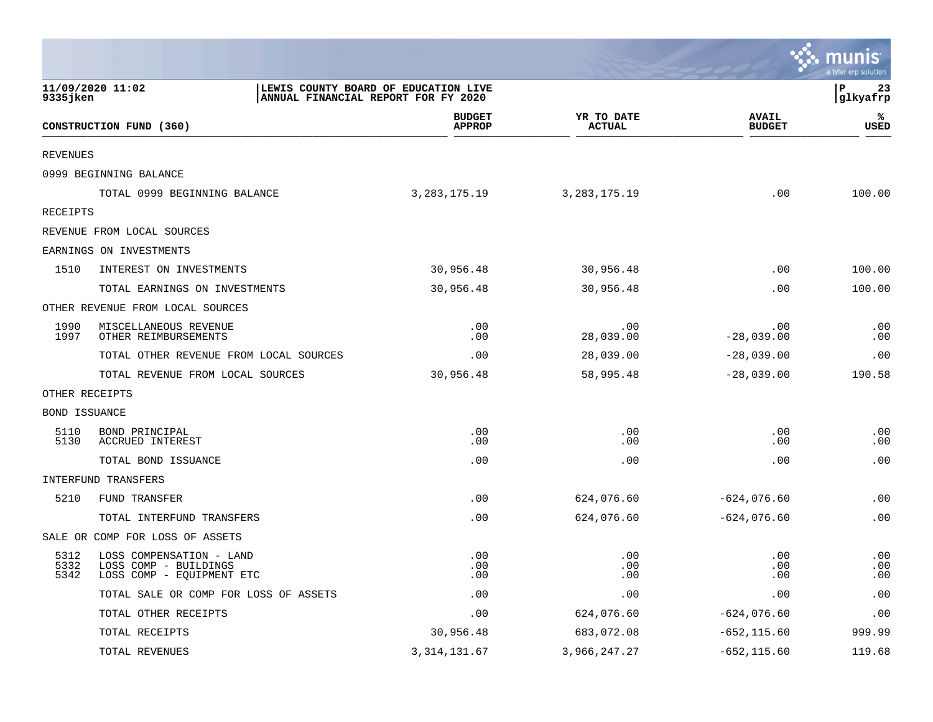|                      |                                                                                |                                                                             |                             |                               | munis<br>a tyler erp solution |
|----------------------|--------------------------------------------------------------------------------|-----------------------------------------------------------------------------|-----------------------------|-------------------------------|-------------------------------|
| 9335jken             | 11/09/2020 11:02                                                               | LEWIS COUNTY BOARD OF EDUCATION LIVE<br>ANNUAL FINANCIAL REPORT FOR FY 2020 |                             |                               | l P<br>23<br> glkyafrp        |
|                      | CONSTRUCTION FUND (360)                                                        | <b>BUDGET</b><br><b>APPROP</b>                                              | YR TO DATE<br><b>ACTUAL</b> | <b>AVAIL</b><br><b>BUDGET</b> | ℁<br><b>USED</b>              |
| <b>REVENUES</b>      |                                                                                |                                                                             |                             |                               |                               |
|                      | 0999 BEGINNING BALANCE                                                         |                                                                             |                             |                               |                               |
|                      | TOTAL 0999 BEGINNING BALANCE                                                   | 3, 283, 175. 19                                                             | 3, 283, 175. 19             | .00                           | 100.00                        |
| <b>RECEIPTS</b>      |                                                                                |                                                                             |                             |                               |                               |
|                      | REVENUE FROM LOCAL SOURCES                                                     |                                                                             |                             |                               |                               |
|                      | EARNINGS ON INVESTMENTS                                                        |                                                                             |                             |                               |                               |
| 1510                 | INTEREST ON INVESTMENTS                                                        | 30,956.48                                                                   | 30,956.48                   | .00                           | 100.00                        |
|                      | TOTAL EARNINGS ON INVESTMENTS                                                  | 30,956.48                                                                   | 30,956.48                   | .00                           | 100.00                        |
|                      | OTHER REVENUE FROM LOCAL SOURCES                                               |                                                                             |                             |                               |                               |
| 1990<br>1997         | MISCELLANEOUS REVENUE<br>OTHER REIMBURSEMENTS                                  | .00<br>.00                                                                  | .00<br>28,039.00            | .00<br>$-28,039.00$           | .00<br>.00                    |
|                      | TOTAL OTHER REVENUE FROM LOCAL SOURCES                                         | .00                                                                         | 28,039.00                   | $-28,039.00$                  | .00                           |
|                      | TOTAL REVENUE FROM LOCAL SOURCES                                               | 30,956.48                                                                   | 58,995.48                   | $-28,039.00$                  | 190.58                        |
|                      | OTHER RECEIPTS                                                                 |                                                                             |                             |                               |                               |
| BOND ISSUANCE        |                                                                                |                                                                             |                             |                               |                               |
| 5110<br>5130         | BOND PRINCIPAL<br>ACCRUED INTEREST                                             | .00<br>.00                                                                  | .00<br>.00                  | .00<br>.00                    | .00<br>.00                    |
|                      | TOTAL BOND ISSUANCE                                                            | .00                                                                         | .00                         | .00                           | .00                           |
|                      | INTERFUND TRANSFERS                                                            |                                                                             |                             |                               |                               |
| 5210                 | FUND TRANSFER                                                                  | .00                                                                         | 624,076.60                  | $-624,076.60$                 | .00                           |
|                      | TOTAL INTERFUND TRANSFERS                                                      | .00                                                                         | 624,076.60                  | $-624,076.60$                 | .00                           |
|                      | SALE OR COMP FOR LOSS OF ASSETS                                                |                                                                             |                             |                               |                               |
| 5312<br>5332<br>5342 | LOSS COMPENSATION - LAND<br>LOSS COMP - BUILDINGS<br>LOSS COMP - EQUIPMENT ETC | .00<br>.00<br>.00                                                           | .00<br>.00<br>.00           | .00<br>.00<br>.00             | .00<br>.00<br>.00             |
|                      | TOTAL SALE OR COMP FOR LOSS OF ASSETS                                          | .00                                                                         | .00                         | .00                           | .00                           |
|                      | TOTAL OTHER RECEIPTS                                                           | .00                                                                         | 624,076.60                  | $-624,076.60$                 | .00                           |
|                      | TOTAL RECEIPTS                                                                 | 30,956.48                                                                   | 683,072.08                  | $-652, 115.60$                | 999.99                        |
|                      | TOTAL REVENUES                                                                 | 3, 314, 131.67                                                              | 3,966,247.27                | $-652, 115.60$                | 119.68                        |

**Contract**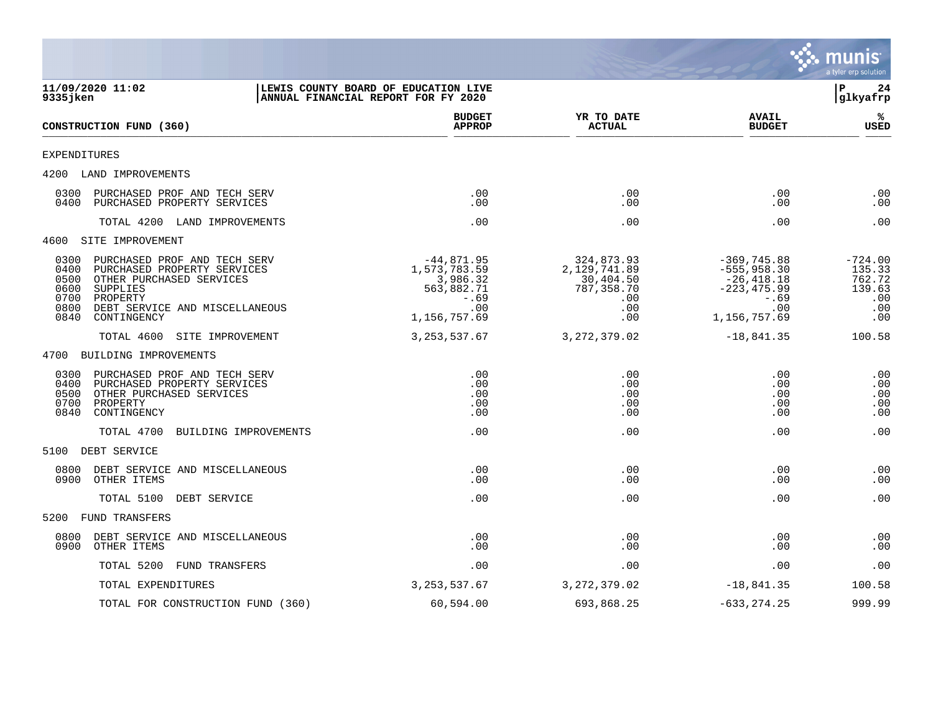

| 11/09/2020 11:02<br>9335 jken                                                                                                                                                                                            | LEWIS COUNTY BOARD OF EDUCATION LIVE<br>ANNUAL FINANCIAL REPORT FOR FY 2020             |                                                                            |                                                                                                    | l P<br>24<br>glkyafrp                                        |
|--------------------------------------------------------------------------------------------------------------------------------------------------------------------------------------------------------------------------|-----------------------------------------------------------------------------------------|----------------------------------------------------------------------------|----------------------------------------------------------------------------------------------------|--------------------------------------------------------------|
| CONSTRUCTION FUND (360)                                                                                                                                                                                                  | <b>BUDGET</b><br><b>APPROP</b>                                                          | YR TO DATE<br><b>ACTUAL</b>                                                | <b>AVAIL</b><br><b>BUDGET</b>                                                                      | ℁<br><b>USED</b>                                             |
| EXPENDITURES                                                                                                                                                                                                             |                                                                                         |                                                                            |                                                                                                    |                                                              |
| 4200 LAND IMPROVEMENTS                                                                                                                                                                                                   |                                                                                         |                                                                            |                                                                                                    |                                                              |
| 0300<br>PURCHASED PROF AND TECH SERV<br>0400<br>PURCHASED PROPERTY SERVICES                                                                                                                                              | .00<br>.00                                                                              | .00<br>.00                                                                 | $.00 \,$<br>.00                                                                                    | .00<br>.00                                                   |
| TOTAL 4200 LAND IMPROVEMENTS                                                                                                                                                                                             | .00                                                                                     | .00                                                                        | .00                                                                                                | .00                                                          |
| 4600 SITE IMPROVEMENT                                                                                                                                                                                                    |                                                                                         |                                                                            |                                                                                                    |                                                              |
| 0300<br>PURCHASED PROF AND TECH SERV<br>0400<br>PURCHASED PROPERTY SERVICES<br>0500<br>OTHER PURCHASED SERVICES<br>0600<br>SUPPLIES<br>0700<br>PROPERTY<br>0800<br>DEBT SERVICE AND MISCELLANEOUS<br>0840<br>CONTINGENCY | $-44,871.95$<br>1,573,783.59<br>3,986.32<br>563,882.71<br>$-.69$<br>.00<br>1,156,757.69 | 324,873.93<br>2,129,741.89<br>30,404.50<br>787,358.70<br>.00<br>.00<br>.00 | $-369,745.88$<br>$-555, 958.30$<br>$-26,418.18$<br>$-223, 475.99$<br>$-.69$<br>.00<br>1,156,757.69 | $-724.00$<br>135.33<br>762.72<br>139.63<br>.00<br>.00<br>.00 |
| TOTAL 4600 SITE IMPROVEMENT                                                                                                                                                                                              | 3, 253, 537.67                                                                          | 3, 272, 379.02                                                             | $-18,841.35$                                                                                       | 100.58                                                       |
| 4700 BUILDING IMPROVEMENTS                                                                                                                                                                                               |                                                                                         |                                                                            |                                                                                                    |                                                              |
| PURCHASED PROF AND TECH SERV<br>0300<br>0400<br>PURCHASED PROPERTY SERVICES<br>0500<br>OTHER PURCHASED SERVICES<br>0700<br>PROPERTY<br>0840<br>CONTINGENCY                                                               | .00<br>.00<br>.00<br>.00<br>.00                                                         | .00<br>.00<br>.00<br>.00<br>.00                                            | .00<br>.00<br>.00<br>.00<br>.00                                                                    | .00<br>.00<br>.00<br>.00<br>.00                              |
| TOTAL 4700 BUILDING IMPROVEMENTS                                                                                                                                                                                         | .00                                                                                     | .00                                                                        | .00                                                                                                | .00                                                          |
| 5100 DEBT SERVICE                                                                                                                                                                                                        |                                                                                         |                                                                            |                                                                                                    |                                                              |
| 0800<br>DEBT SERVICE AND MISCELLANEOUS<br>OTHER ITEMS<br>0900                                                                                                                                                            | .00<br>.00                                                                              | .00<br>.00                                                                 | .00<br>.00                                                                                         | .00<br>.00                                                   |
| TOTAL 5100 DEBT SERVICE                                                                                                                                                                                                  | .00                                                                                     | .00                                                                        | .00                                                                                                | .00                                                          |
| 5200 FUND TRANSFERS                                                                                                                                                                                                      |                                                                                         |                                                                            |                                                                                                    |                                                              |
| 0800<br>DEBT SERVICE AND MISCELLANEOUS<br>0900<br>OTHER ITEMS                                                                                                                                                            | .00<br>.00                                                                              | .00<br>.00                                                                 | .00<br>.00                                                                                         | .00<br>.00                                                   |
| TOTAL 5200 FUND TRANSFERS                                                                                                                                                                                                | .00                                                                                     | .00                                                                        | $.00 \,$                                                                                           | .00                                                          |
| TOTAL EXPENDITURES                                                                                                                                                                                                       | 3, 253, 537.67                                                                          | 3, 272, 379.02                                                             | $-18,841.35$                                                                                       | 100.58                                                       |
| TOTAL FOR CONSTRUCTION FUND (360)                                                                                                                                                                                        | 60,594.00                                                                               | 693,868.25                                                                 | $-633, 274.25$                                                                                     | 999.99                                                       |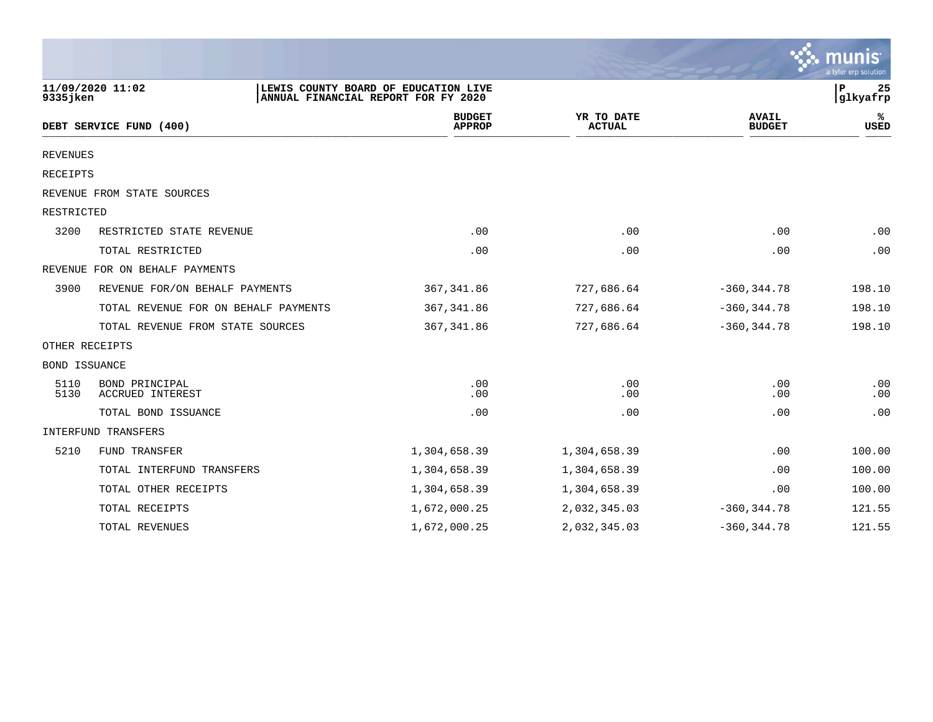|                      |                                           |                                     |                                      |                             |                               | munis<br>a tyler erp solution |
|----------------------|-------------------------------------------|-------------------------------------|--------------------------------------|-----------------------------|-------------------------------|-------------------------------|
| 9335jken             | 11/09/2020 11:02                          | ANNUAL FINANCIAL REPORT FOR FY 2020 | LEWIS COUNTY BOARD OF EDUCATION LIVE |                             |                               | P<br>25<br>glkyafrp           |
|                      | DEBT SERVICE FUND (400)                   |                                     | <b>BUDGET</b><br><b>APPROP</b>       | YR TO DATE<br><b>ACTUAL</b> | <b>AVAIL</b><br><b>BUDGET</b> | %ะ<br><b>USED</b>             |
| <b>REVENUES</b>      |                                           |                                     |                                      |                             |                               |                               |
| RECEIPTS             |                                           |                                     |                                      |                             |                               |                               |
|                      | REVENUE FROM STATE SOURCES                |                                     |                                      |                             |                               |                               |
| RESTRICTED           |                                           |                                     |                                      |                             |                               |                               |
| 3200                 | RESTRICTED STATE REVENUE                  |                                     | .00                                  | .00                         | .00                           | .00                           |
|                      | TOTAL RESTRICTED                          |                                     | .00                                  | .00                         | .00                           | .00                           |
|                      | REVENUE FOR ON BEHALF PAYMENTS            |                                     |                                      |                             |                               |                               |
| 3900                 | REVENUE FOR/ON BEHALF PAYMENTS            |                                     | 367, 341.86                          | 727,686.64                  | $-360, 344.78$                | 198.10                        |
|                      | TOTAL REVENUE FOR ON BEHALF PAYMENTS      |                                     | 367, 341.86                          | 727,686.64                  | $-360, 344.78$                | 198.10                        |
|                      | TOTAL REVENUE FROM STATE SOURCES          |                                     | 367, 341.86                          | 727,686.64                  | $-360, 344.78$                | 198.10                        |
|                      | OTHER RECEIPTS                            |                                     |                                      |                             |                               |                               |
| <b>BOND ISSUANCE</b> |                                           |                                     |                                      |                             |                               |                               |
| 5110<br>5130         | BOND PRINCIPAL<br><b>ACCRUED INTEREST</b> |                                     | .00<br>.00                           | .00<br>.00                  | .00<br>.00                    | .00<br>.00                    |
|                      | TOTAL BOND ISSUANCE                       |                                     | .00                                  | .00                         | .00                           | .00                           |
|                      | INTERFUND TRANSFERS                       |                                     |                                      |                             |                               |                               |
| 5210                 | FUND TRANSFER                             |                                     | 1,304,658.39                         | 1,304,658.39                | .00                           | 100.00                        |
|                      | TOTAL INTERFUND TRANSFERS                 |                                     | 1,304,658.39                         | 1,304,658.39                | .00                           | 100.00                        |
|                      | TOTAL OTHER RECEIPTS                      |                                     | 1,304,658.39                         | 1,304,658.39                | .00                           | 100.00                        |
|                      | TOTAL RECEIPTS                            |                                     | 1,672,000.25                         | 2,032,345.03                | $-360, 344.78$                | 121.55                        |
|                      | TOTAL REVENUES                            |                                     | 1,672,000.25                         | 2,032,345.03                | $-360, 344.78$                | 121.55                        |

a sa mga magaalang na mga magaalang ng mga magaalang ng mga magaalang ng magaalang ng magaalang ng magaalang n

the property of the control of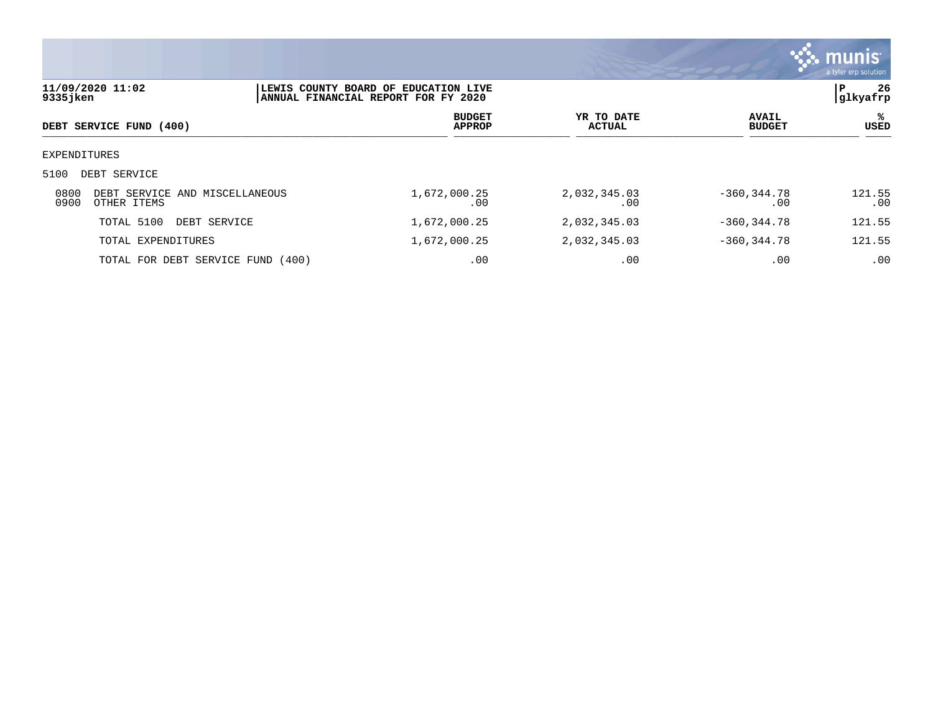

| 9335jken     | 11/09/2020 11:02                              | LEWIS COUNTY BOARD OF EDUCATION LIVE<br>ANNUAL FINANCIAL REPORT FOR FY 2020 |                                |                             |                |                               |                   |
|--------------|-----------------------------------------------|-----------------------------------------------------------------------------|--------------------------------|-----------------------------|----------------|-------------------------------|-------------------|
|              | DEBT SERVICE FUND (400)                       |                                                                             | <b>BUDGET</b><br><b>APPROP</b> | YR TO DATE<br><b>ACTUAL</b> |                | <b>AVAIL</b><br><b>BUDGET</b> | %ร<br><b>USED</b> |
| EXPENDITURES |                                               |                                                                             |                                |                             |                |                               |                   |
| 5100         | DEBT SERVICE                                  |                                                                             |                                |                             |                |                               |                   |
| 0800<br>0900 | DEBT SERVICE AND MISCELLANEOUS<br>OTHER ITEMS | 1,672,000.25                                                                | .00                            | 2,032,345.03<br>.00         | $-360, 344.78$ | .00                           | 121.55<br>.00     |
|              | TOTAL 5100<br>DEBT SERVICE                    | 1,672,000.25                                                                |                                | 2,032,345.03                | $-360.344.78$  |                               | 121.55            |
|              | TOTAL EXPENDITURES                            | 1,672,000.25                                                                |                                | 2,032,345.03                | $-360, 344.78$ |                               | 121.55            |
|              | TOTAL FOR DEBT SERVICE FUND (400)             |                                                                             | .00                            | .00                         |                | .00                           | .00               |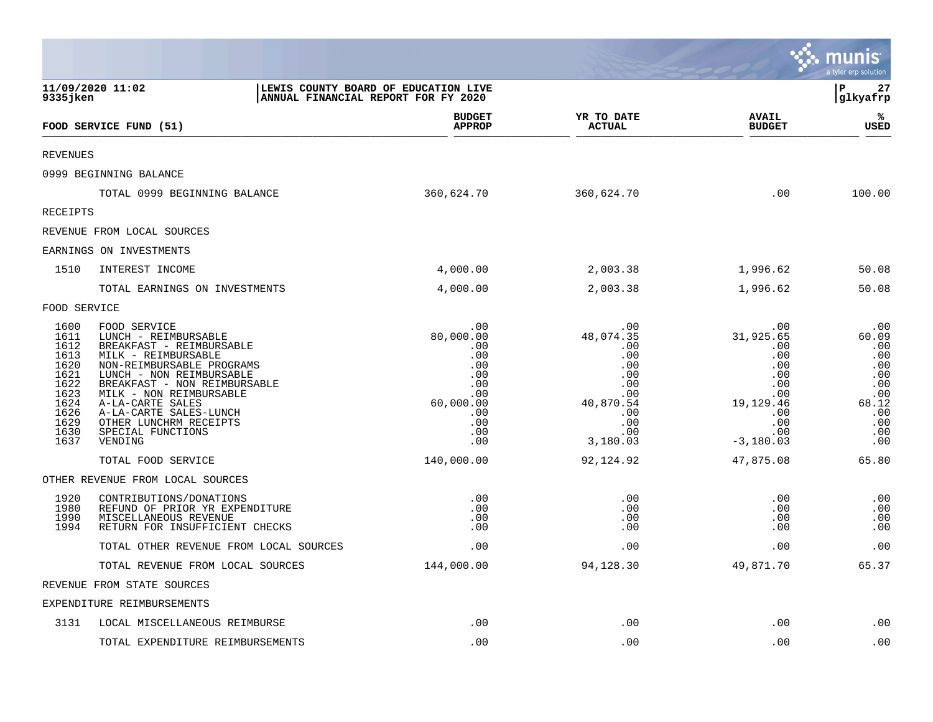|                                                                                              |                                                                                                                                                                                                                                                                                                          |                                                                                              |                                                                                              |                                                                                              | munis<br>a tyler erp solution                                                        |
|----------------------------------------------------------------------------------------------|----------------------------------------------------------------------------------------------------------------------------------------------------------------------------------------------------------------------------------------------------------------------------------------------------------|----------------------------------------------------------------------------------------------|----------------------------------------------------------------------------------------------|----------------------------------------------------------------------------------------------|--------------------------------------------------------------------------------------|
| 9335jken                                                                                     | 11/09/2020 11:02                                                                                                                                                                                                                                                                                         | LEWIS COUNTY BOARD OF EDUCATION LIVE<br>ANNUAL FINANCIAL REPORT FOR FY 2020                  |                                                                                              |                                                                                              | l P<br>27<br> glkyafrp                                                               |
|                                                                                              | FOOD SERVICE FUND (51)                                                                                                                                                                                                                                                                                   | <b>BUDGET</b><br><b>APPROP</b>                                                               | YR TO DATE<br><b>ACTUAL</b>                                                                  | <b>AVAIL</b><br><b>BUDGET</b>                                                                | ℁<br><b>USED</b>                                                                     |
| <b>REVENUES</b>                                                                              |                                                                                                                                                                                                                                                                                                          |                                                                                              |                                                                                              |                                                                                              |                                                                                      |
|                                                                                              | 0999 BEGINNING BALANCE                                                                                                                                                                                                                                                                                   |                                                                                              |                                                                                              |                                                                                              |                                                                                      |
|                                                                                              | TOTAL 0999 BEGINNING BALANCE                                                                                                                                                                                                                                                                             | 360,624.70                                                                                   | 360,624.70                                                                                   | .00                                                                                          | 100.00                                                                               |
| RECEIPTS                                                                                     |                                                                                                                                                                                                                                                                                                          |                                                                                              |                                                                                              |                                                                                              |                                                                                      |
|                                                                                              | REVENUE FROM LOCAL SOURCES                                                                                                                                                                                                                                                                               |                                                                                              |                                                                                              |                                                                                              |                                                                                      |
|                                                                                              | EARNINGS ON INVESTMENTS                                                                                                                                                                                                                                                                                  |                                                                                              |                                                                                              |                                                                                              |                                                                                      |
| 1510                                                                                         | INTEREST INCOME                                                                                                                                                                                                                                                                                          | 4,000.00                                                                                     | 2,003.38                                                                                     | 1,996.62                                                                                     | 50.08                                                                                |
|                                                                                              | TOTAL EARNINGS ON INVESTMENTS                                                                                                                                                                                                                                                                            | 4,000.00                                                                                     | 2,003.38                                                                                     | 1,996.62                                                                                     | 50.08                                                                                |
| FOOD SERVICE                                                                                 |                                                                                                                                                                                                                                                                                                          |                                                                                              |                                                                                              |                                                                                              |                                                                                      |
| 1600<br>1611<br>1612<br>1613<br>1620<br>1621<br>1622<br>1623<br>1624<br>1626<br>1629<br>1630 | FOOD SERVICE<br>LUNCH - REIMBURSABLE<br>BREAKFAST - REIMBURSABLE<br>MILK - REIMBURSABLE<br>NON-REIMBURSABLE PROGRAMS<br>LUNCH - NON REIMBURSABLE<br>BREAKFAST - NON REIMBURSABLE<br>MILK - NON REIMBURSABLE<br>A-LA-CARTE SALES<br>A-LA-CARTE SALES-LUNCH<br>OTHER LUNCHRM RECEIPTS<br>SPECIAL FUNCTIONS | .00<br>80,000.00<br>.00<br>.00<br>.00<br>.00<br>.00<br>.00<br>60,000.00<br>.00<br>.00<br>.00 | .00<br>48,074.35<br>.00<br>.00<br>.00<br>.00<br>.00<br>.00<br>40,870.54<br>.00<br>.00<br>.00 | .00<br>31,925.65<br>.00<br>.00<br>.00<br>.00<br>.00<br>.00<br>19,129.46<br>.00<br>.00<br>.00 | .00<br>60.09<br>.00<br>.00<br>.00<br>.00<br>.00<br>.00<br>68.12<br>.00<br>.00<br>.00 |
| 1637                                                                                         | VENDING                                                                                                                                                                                                                                                                                                  | .00                                                                                          | 3,180.03                                                                                     | $-3,180.03$                                                                                  | .00                                                                                  |
|                                                                                              | TOTAL FOOD SERVICE                                                                                                                                                                                                                                                                                       | 140,000.00                                                                                   | 92, 124.92                                                                                   | 47,875.08                                                                                    | 65.80                                                                                |
| 1920<br>1980<br>1990<br>1994                                                                 | OTHER REVENUE FROM LOCAL SOURCES<br>CONTRIBUTIONS/DONATIONS<br>REFUND OF PRIOR YR EXPENDITURE<br>MISCELLANEOUS REVENUE<br>RETURN FOR INSUFFICIENT CHECKS                                                                                                                                                 | .00<br>.00<br>.00<br>.00                                                                     | .00<br>.00<br>.00<br>.00                                                                     | .00<br>.00<br>.00<br>.00                                                                     | .00<br>.00<br>.00<br>.00                                                             |
|                                                                                              | TOTAL OTHER REVENUE FROM LOCAL SOURCES                                                                                                                                                                                                                                                                   | .00                                                                                          | .00                                                                                          | .00                                                                                          | .00                                                                                  |
|                                                                                              | TOTAL REVENUE FROM LOCAL SOURCES                                                                                                                                                                                                                                                                         | 144,000.00                                                                                   | 94,128.30                                                                                    | 49,871.70                                                                                    | 65.37                                                                                |
|                                                                                              | REVENUE FROM STATE SOURCES                                                                                                                                                                                                                                                                               |                                                                                              |                                                                                              |                                                                                              |                                                                                      |
|                                                                                              | EXPENDITURE REIMBURSEMENTS                                                                                                                                                                                                                                                                               |                                                                                              |                                                                                              |                                                                                              |                                                                                      |
| 3131                                                                                         | LOCAL MISCELLANEOUS REIMBURSE                                                                                                                                                                                                                                                                            | .00                                                                                          | .00                                                                                          | .00                                                                                          | .00                                                                                  |
|                                                                                              | TOTAL EXPENDITURE REIMBURSEMENTS                                                                                                                                                                                                                                                                         | .00                                                                                          | .00                                                                                          | .00                                                                                          | .00                                                                                  |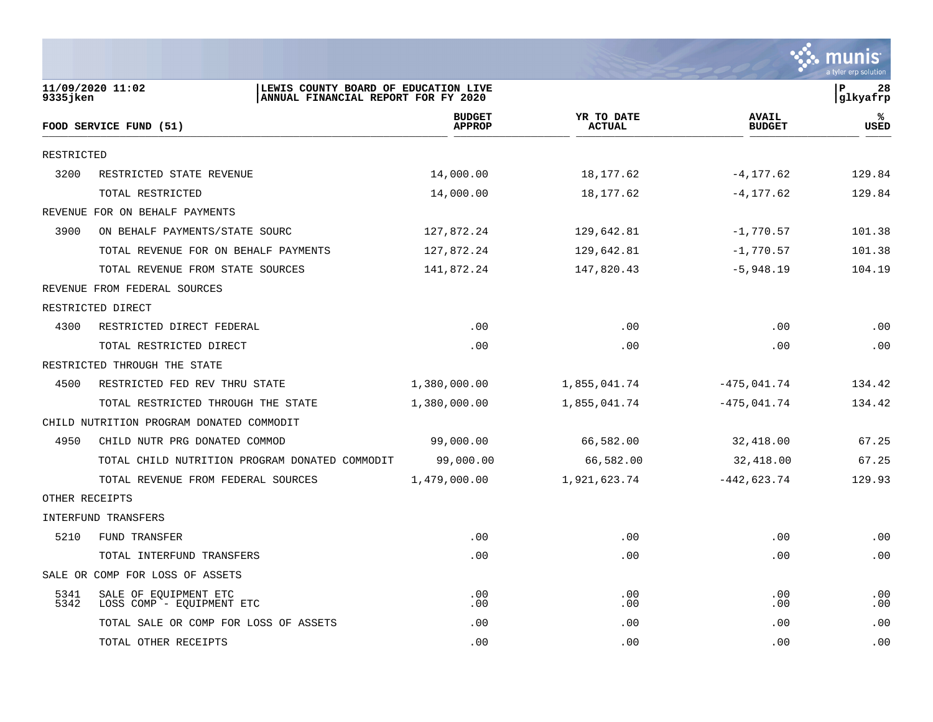

| 9335 jken      | 11/09/2020 11:02<br>LEWIS COUNTY BOARD OF EDUCATION LIVE<br>ANNUAL FINANCIAL REPORT FOR FY 2020 |                                |                             |                               | P<br>28<br>glkyafrp |
|----------------|-------------------------------------------------------------------------------------------------|--------------------------------|-----------------------------|-------------------------------|---------------------|
|                | FOOD SERVICE FUND (51)                                                                          | <b>BUDGET</b><br><b>APPROP</b> | YR TO DATE<br><b>ACTUAL</b> | <b>AVAIL</b><br><b>BUDGET</b> | %<br>USED           |
| RESTRICTED     |                                                                                                 |                                |                             |                               |                     |
| 3200           | RESTRICTED STATE REVENUE                                                                        | 14,000.00                      | 18,177.62                   | $-4, 177.62$                  | 129.84              |
|                | TOTAL RESTRICTED                                                                                | 14,000.00                      | 18,177.62                   | $-4, 177.62$                  | 129.84              |
|                | REVENUE FOR ON BEHALF PAYMENTS                                                                  |                                |                             |                               |                     |
| 3900           | ON BEHALF PAYMENTS/STATE SOURC                                                                  | 127,872.24                     | 129,642.81                  | $-1,770.57$                   | 101.38              |
|                | TOTAL REVENUE FOR ON BEHALF PAYMENTS                                                            | 127,872.24                     | 129,642.81                  | $-1,770.57$                   | 101.38              |
|                | TOTAL REVENUE FROM STATE SOURCES                                                                | 141,872.24                     | 147,820.43                  | $-5,948.19$                   | 104.19              |
|                | REVENUE FROM FEDERAL SOURCES                                                                    |                                |                             |                               |                     |
|                | RESTRICTED DIRECT                                                                               |                                |                             |                               |                     |
| 4300           | RESTRICTED DIRECT FEDERAL                                                                       | .00                            | .00                         | .00                           | .00                 |
|                | TOTAL RESTRICTED DIRECT                                                                         | .00                            | .00                         | .00                           | .00                 |
|                | RESTRICTED THROUGH THE STATE                                                                    |                                |                             |                               |                     |
| 4500           | RESTRICTED FED REV THRU STATE                                                                   | 1,380,000.00                   | 1,855,041.74                | $-475,041.74$                 | 134.42              |
|                | TOTAL RESTRICTED THROUGH THE STATE                                                              | 1,380,000.00                   | 1,855,041.74                | $-475,041.74$                 | 134.42              |
|                | CHILD NUTRITION PROGRAM DONATED COMMODIT                                                        |                                |                             |                               |                     |
| 4950           | CHILD NUTR PRG DONATED COMMOD                                                                   | 99,000.00                      | 66,582.00                   | 32,418.00                     | 67.25               |
|                | TOTAL CHILD NUTRITION PROGRAM DONATED COMMODIT                                                  | 99,000.00                      | 66,582.00                   | 32,418.00                     | 67.25               |
|                | TOTAL REVENUE FROM FEDERAL SOURCES                                                              | 1,479,000.00                   | 1,921,623.74                | $-442,623.74$                 | 129.93              |
| OTHER RECEIPTS |                                                                                                 |                                |                             |                               |                     |
|                | INTERFUND TRANSFERS                                                                             |                                |                             |                               |                     |
| 5210           | FUND TRANSFER                                                                                   | .00                            | .00                         | .00                           | .00                 |
|                | TOTAL INTERFUND TRANSFERS                                                                       | .00                            | .00                         | .00                           | .00                 |
|                | SALE OR COMP FOR LOSS OF ASSETS                                                                 |                                |                             |                               |                     |
| 5341           | SALE OF EQUIPMENT ETC                                                                           | .00                            | .00                         | .00                           | .00                 |
| 5342           | LOSS COMP - EQUIPMENT ETC<br>TOTAL SALE OR COMP FOR LOSS OF ASSETS                              | .00<br>.00                     | .00                         | .00                           | .00<br>.00          |
|                | TOTAL OTHER RECEIPTS                                                                            | .00                            | .00<br>.00                  | .00<br>.00                    | .00                 |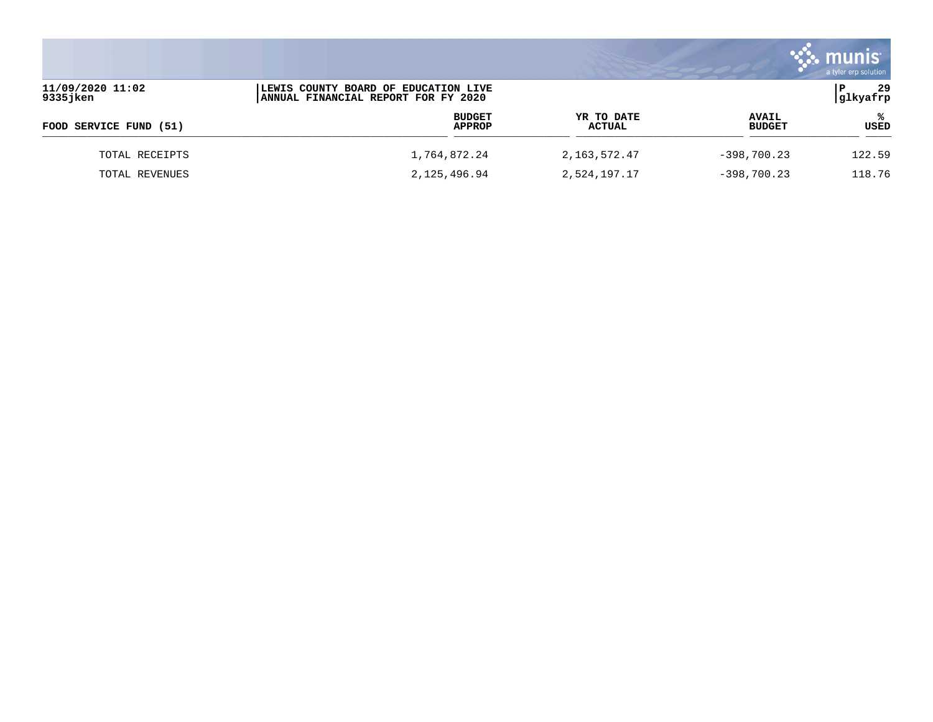|                                                                                                             |              |                         |                      |                               | munis<br>a tyler erp solution |
|-------------------------------------------------------------------------------------------------------------|--------------|-------------------------|----------------------|-------------------------------|-------------------------------|
| 11/09/2020 11:02<br>LEWIS COUNTY BOARD OF EDUCATION LIVE<br>9335jken<br>ANNUAL FINANCIAL REPORT FOR FY 2020 |              |                         |                      |                               | 29<br>glkyafrp                |
| FOOD SERVICE FUND (51)                                                                                      |              | <b>BUDGET</b><br>APPROP | YR TO DATE<br>ACTUAL | <b>AVAIL</b><br><b>BUDGET</b> | °≈<br><b>USED</b>             |
| TOTAL RECEIPTS                                                                                              | 1,764,872.24 |                         | 2,163,572.47         | $-398,700.23$                 | 122.59                        |
| TOTAL REVENUES                                                                                              | 2,125,496.94 |                         | 2,524,197.17         | $-398,700.23$                 | 118.76                        |

 $\mathcal{L}^{\text{max}}$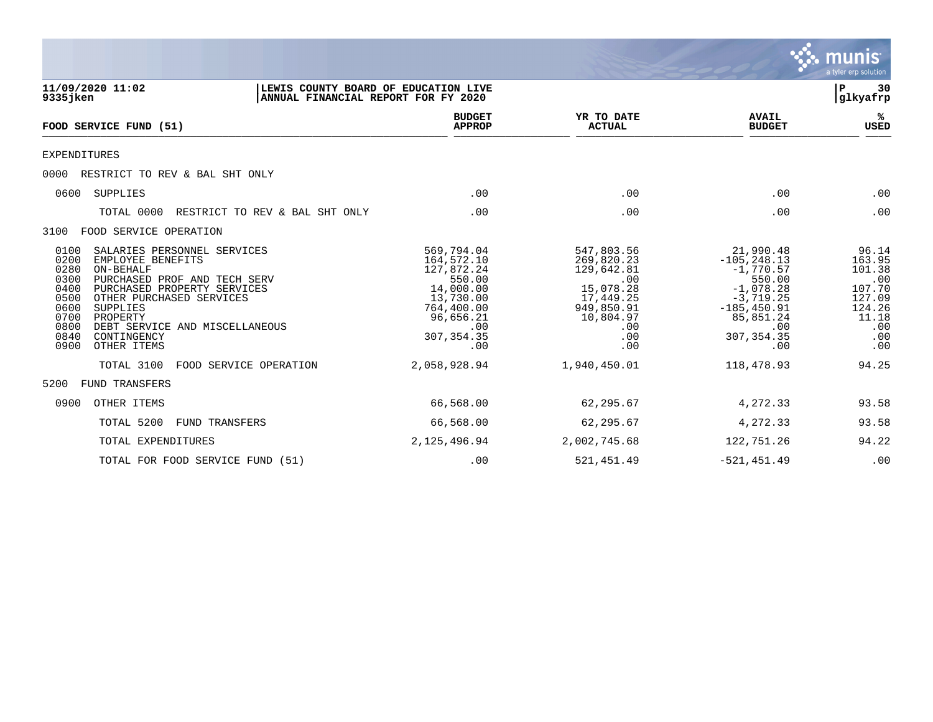|                                                                                                                                                                                                                                                                                                                                          |                                                                                                                                    |                                                                                                                         |                                                                                                                                                | munıs<br>a tyler erp solution                                                                |
|------------------------------------------------------------------------------------------------------------------------------------------------------------------------------------------------------------------------------------------------------------------------------------------------------------------------------------------|------------------------------------------------------------------------------------------------------------------------------------|-------------------------------------------------------------------------------------------------------------------------|------------------------------------------------------------------------------------------------------------------------------------------------|----------------------------------------------------------------------------------------------|
| 11/09/2020 11:02<br>LEWIS COUNTY BOARD OF EDUCATION LIVE<br>9335 jken<br>ANNUAL FINANCIAL REPORT FOR FY 2020                                                                                                                                                                                                                             |                                                                                                                                    |                                                                                                                         |                                                                                                                                                | 30<br>P<br> glkyafrp                                                                         |
| FOOD SERVICE FUND (51)                                                                                                                                                                                                                                                                                                                   | <b>BUDGET</b><br><b>APPROP</b>                                                                                                     | YR TO DATE<br><b>ACTUAL</b>                                                                                             | <b>AVAIL</b><br><b>BUDGET</b>                                                                                                                  | ℁<br><b>USED</b>                                                                             |
| <b>EXPENDITURES</b>                                                                                                                                                                                                                                                                                                                      |                                                                                                                                    |                                                                                                                         |                                                                                                                                                |                                                                                              |
| RESTRICT TO REV & BAL SHT ONLY<br>0000                                                                                                                                                                                                                                                                                                   |                                                                                                                                    |                                                                                                                         |                                                                                                                                                |                                                                                              |
| SUPPLIES<br>0600                                                                                                                                                                                                                                                                                                                         | .00                                                                                                                                | .00                                                                                                                     | .00                                                                                                                                            | .00                                                                                          |
| TOTAL 0000<br>RESTRICT TO REV & BAL SHT ONLY                                                                                                                                                                                                                                                                                             | .00                                                                                                                                | .00                                                                                                                     | .00                                                                                                                                            | .00                                                                                          |
| FOOD SERVICE OPERATION<br>3100                                                                                                                                                                                                                                                                                                           |                                                                                                                                    |                                                                                                                         |                                                                                                                                                |                                                                                              |
| 0100<br>SALARIES PERSONNEL SERVICES<br>0200<br>EMPLOYEE BENEFITS<br>0280<br>ON-BEHALF<br>0300<br>PURCHASED PROF AND TECH SERV<br>0400<br>PURCHASED PROPERTY SERVICES<br>0500<br>OTHER PURCHASED SERVICES<br>0600<br>SUPPLIES<br>0700<br>PROPERTY<br>0800<br>DEBT SERVICE AND MISCELLANEOUS<br>0840<br>CONTINGENCY<br>0900<br>OTHER ITEMS | 569,794.04<br>164,572.10<br>127,872.24<br>550.00<br>14,000.00<br>13,730.00<br>764,400.00<br>96,656.21<br>.00<br>307, 354.35<br>.00 | 547,803.56<br>269,820.23<br>129,642.81<br>.00<br>15,078.28<br>17,449.25<br>949,850.91<br>10,804.97<br>.00<br>.00<br>.00 | 21,990.48<br>$-105, 248.13$<br>$-1,770.57$<br>550.00<br>$-1,078.28$<br>$-3,719.25$<br>$-185, 450.91$<br>85,851.24<br>.00<br>307, 354.35<br>.00 | 96.14<br>163.95<br>101.38<br>.00<br>107.70<br>127.09<br>124.26<br>11.18<br>.00<br>.00<br>.00 |
| FOOD SERVICE OPERATION<br>TOTAL 3100                                                                                                                                                                                                                                                                                                     | 2,058,928.94                                                                                                                       | 1,940,450.01                                                                                                            | 118,478.93                                                                                                                                     | 94.25                                                                                        |
| 5200<br><b>FUND TRANSFERS</b>                                                                                                                                                                                                                                                                                                            |                                                                                                                                    |                                                                                                                         |                                                                                                                                                |                                                                                              |
| 0900<br>OTHER ITEMS                                                                                                                                                                                                                                                                                                                      | 66,568.00                                                                                                                          | 62,295.67                                                                                                               | 4,272.33                                                                                                                                       | 93.58                                                                                        |
| TOTAL 5200<br>FUND TRANSFERS                                                                                                                                                                                                                                                                                                             | 66,568.00                                                                                                                          | 62,295.67                                                                                                               | 4,272.33                                                                                                                                       | 93.58                                                                                        |
| TOTAL EXPENDITURES                                                                                                                                                                                                                                                                                                                       | 2,125,496.94                                                                                                                       | 2,002,745.68                                                                                                            | 122,751.26                                                                                                                                     | 94.22                                                                                        |
| TOTAL FOR FOOD SERVICE FUND (51)                                                                                                                                                                                                                                                                                                         | .00                                                                                                                                | 521, 451.49                                                                                                             | $-521, 451.49$                                                                                                                                 | .00                                                                                          |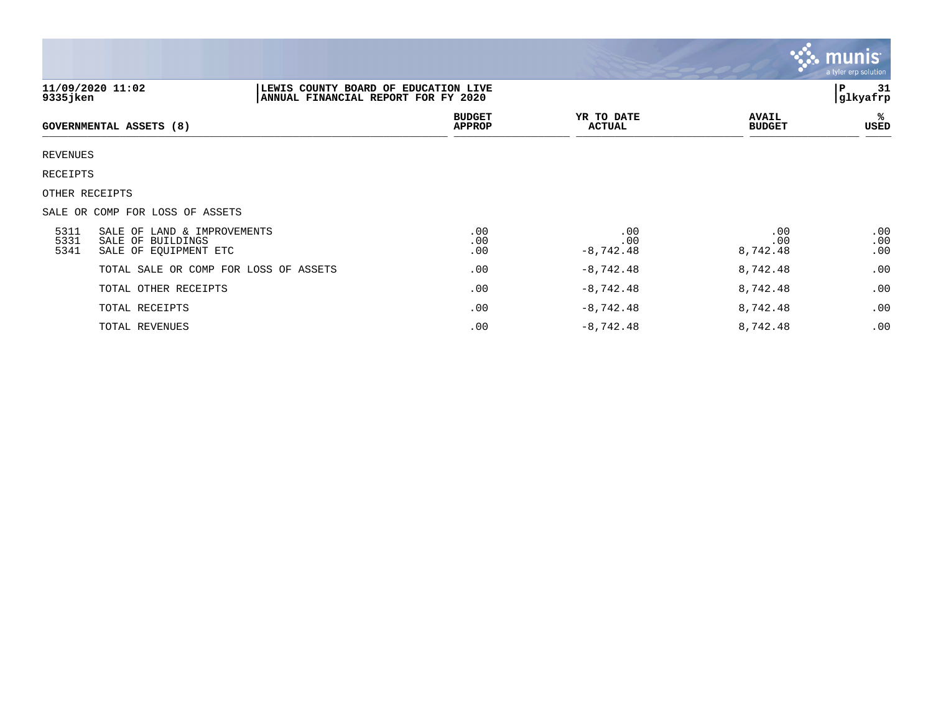|                      |                                                                           |                                                                             |                             |                               | <b>munis</b><br>a tyler erp solution |
|----------------------|---------------------------------------------------------------------------|-----------------------------------------------------------------------------|-----------------------------|-------------------------------|--------------------------------------|
| $9335$ jken          | 11/09/2020 11:02                                                          | LEWIS COUNTY BOARD OF EDUCATION LIVE<br>ANNUAL FINANCIAL REPORT FOR FY 2020 |                             |                               | Р<br>-31<br>glkyafrp                 |
|                      | <b>GOVERNMENTAL ASSETS (8)</b>                                            | <b>BUDGET</b><br><b>APPROP</b>                                              | YR TO DATE<br><b>ACTUAL</b> | <b>AVAIL</b><br><b>BUDGET</b> | ℁<br>USED                            |
| <b>REVENUES</b>      |                                                                           |                                                                             |                             |                               |                                      |
| RECEIPTS             |                                                                           |                                                                             |                             |                               |                                      |
|                      | OTHER RECEIPTS                                                            |                                                                             |                             |                               |                                      |
|                      | SALE OR COMP FOR LOSS OF ASSETS                                           |                                                                             |                             |                               |                                      |
| 5311<br>5331<br>5341 | SALE OF LAND & IMPROVEMENTS<br>SALE OF BUILDINGS<br>SALE OF EQUIPMENT ETC | .00<br>.00<br>.00                                                           | .00<br>.00<br>$-8,742.48$   | .00<br>.00<br>8,742.48        | .00<br>.00<br>.00                    |
|                      | TOTAL SALE OR COMP FOR LOSS OF ASSETS                                     | .00                                                                         | $-8,742.48$                 | 8,742.48                      | .00                                  |
|                      | TOTAL OTHER RECEIPTS                                                      | .00                                                                         | $-8,742.48$                 | 8,742.48                      | .00                                  |
|                      | TOTAL RECEIPTS                                                            | .00                                                                         | $-8,742.48$                 | 8,742.48                      | .00                                  |
|                      | TOTAL REVENUES                                                            | .00                                                                         | $-8,742.48$                 | 8,742.48                      | .00                                  |

the property of the control of

a sa mga magaalang na mga magaalang ng mga magaalang ng mga magaalang ng magaalang ng magaalang ng magaalang n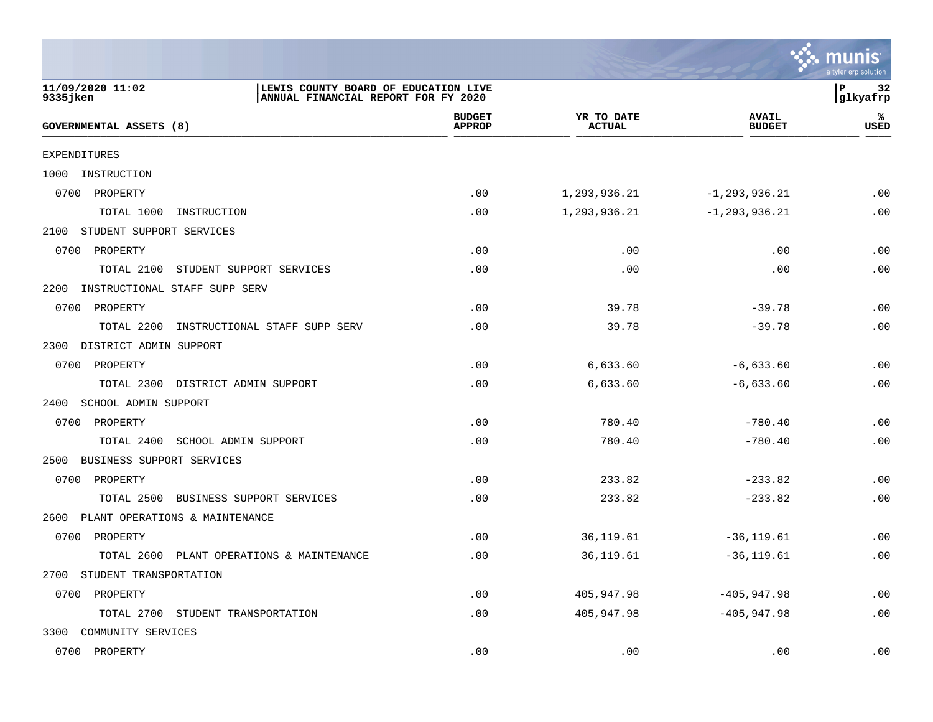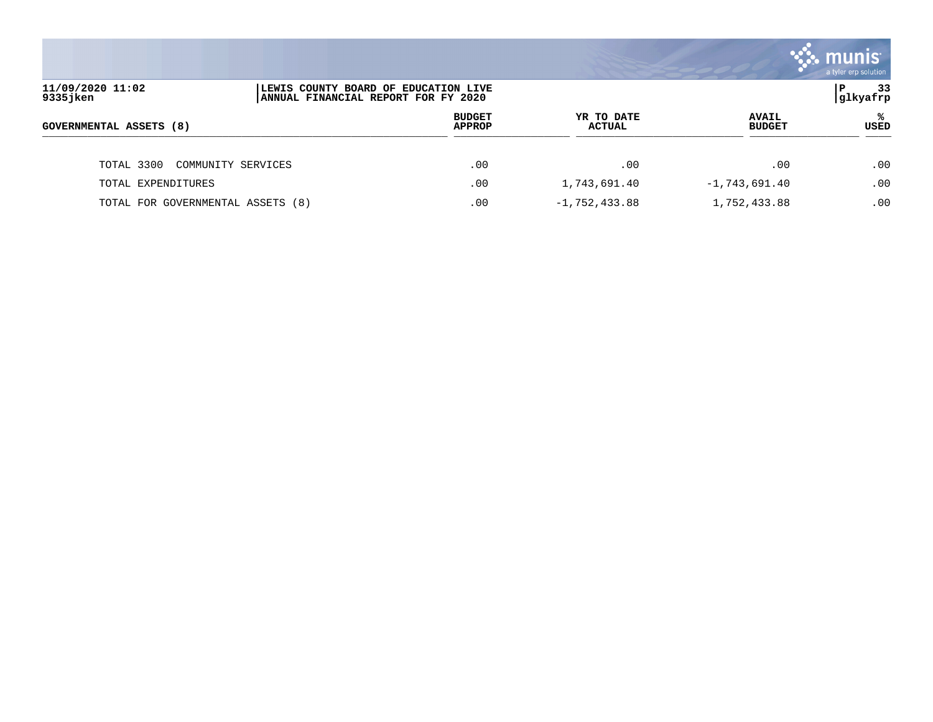|                                   |                                                                             |                                |                             |                               | munis<br>a tyler erp solution |
|-----------------------------------|-----------------------------------------------------------------------------|--------------------------------|-----------------------------|-------------------------------|-------------------------------|
| 11/09/2020 11:02<br>9335 jken     | LEWIS COUNTY BOARD OF EDUCATION LIVE<br>ANNUAL FINANCIAL REPORT FOR FY 2020 |                                |                             |                               | 33<br>۱P.<br>glkyafrp         |
| GOVERNMENTAL ASSETS (8)           |                                                                             | <b>BUDGET</b><br><b>APPROP</b> | YR TO DATE<br><b>ACTUAL</b> | <b>AVAIL</b><br><b>BUDGET</b> | °<br>USED                     |
| TOTAL 3300<br>COMMUNITY SERVICES  |                                                                             | .00                            | .00                         | .00                           | .00                           |
| TOTAL EXPENDITURES                |                                                                             | .00                            | 1,743,691.40                | $-1,743,691.40$               | .00                           |
| TOTAL FOR GOVERNMENTAL ASSETS (8) |                                                                             | .00                            | $-1,752,433.88$             | 1,752,433.88                  | .00                           |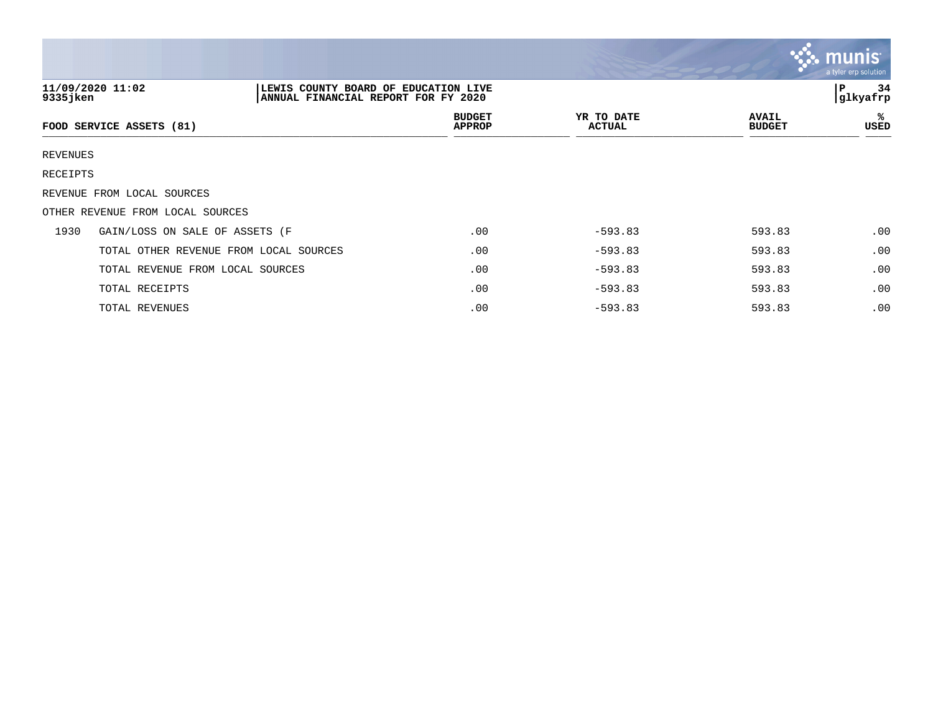|                 |                                                                                                 |                                |                      |                               | <b>munis</b><br>a tyler erp solution |
|-----------------|-------------------------------------------------------------------------------------------------|--------------------------------|----------------------|-------------------------------|--------------------------------------|
| 9335 jken       | 11/09/2020 11:02<br>LEWIS COUNTY BOARD OF EDUCATION LIVE<br>ANNUAL FINANCIAL REPORT FOR FY 2020 | 34<br>P<br> glkyafrp           |                      |                               |                                      |
|                 | FOOD SERVICE ASSETS (81)                                                                        | <b>BUDGET</b><br><b>APPROP</b> | YR TO DATE<br>ACTUAL | <b>AVAIL</b><br><b>BUDGET</b> | %<br>USED                            |
| <b>REVENUES</b> |                                                                                                 |                                |                      |                               |                                      |
| RECEIPTS        |                                                                                                 |                                |                      |                               |                                      |
|                 | REVENUE FROM LOCAL SOURCES                                                                      |                                |                      |                               |                                      |
|                 | OTHER REVENUE FROM LOCAL SOURCES                                                                |                                |                      |                               |                                      |
| 1930            | GAIN/LOSS ON SALE OF ASSETS (F                                                                  | .00                            | $-593.83$            | 593.83                        | .00                                  |
|                 | TOTAL OTHER REVENUE FROM LOCAL SOURCES                                                          | .00                            | $-593.83$            | 593.83                        | .00                                  |
|                 | TOTAL REVENUE FROM LOCAL SOURCES                                                                | .00                            | $-593.83$            | 593.83                        | .00                                  |
|                 | TOTAL RECEIPTS                                                                                  | .00                            | $-593.83$            | 593.83                        | .00                                  |
|                 | TOTAL REVENUES                                                                                  | $.00 \,$                       | $-593.83$            | 593.83                        | .00                                  |

**The State**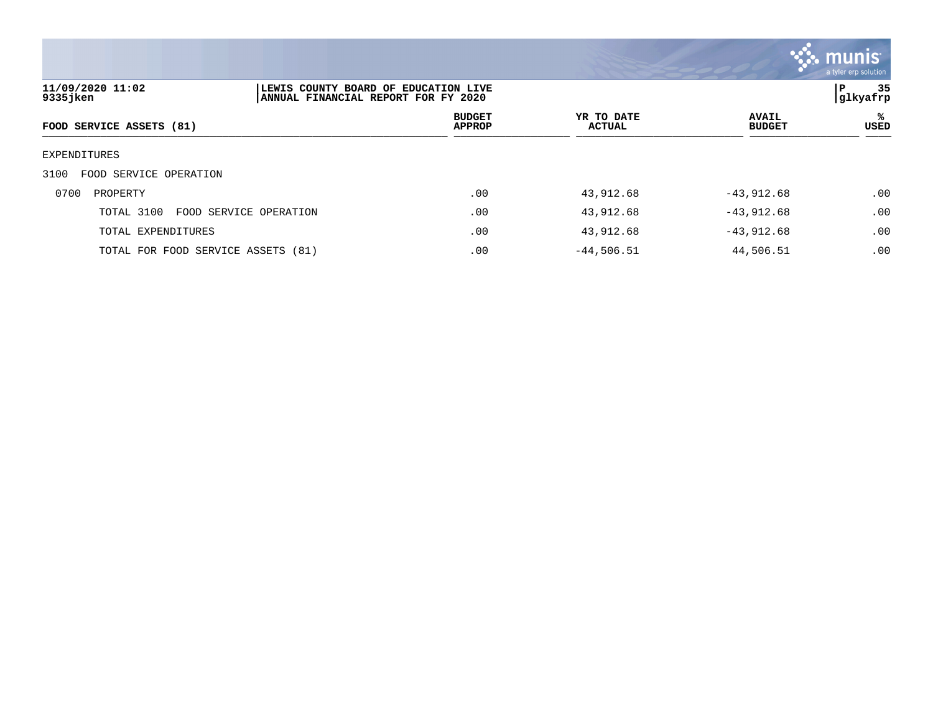

| 11/09/2020 11:02<br>9335jken   | LEWIS COUNTY BOARD OF EDUCATION LIVE<br>ANNUAL FINANCIAL REPORT FOR FY 2020 |                                |                      |                               | 35<br>P<br> glkyafrp |
|--------------------------------|-----------------------------------------------------------------------------|--------------------------------|----------------------|-------------------------------|----------------------|
| FOOD SERVICE ASSETS (81)       |                                                                             | <b>BUDGET</b><br><b>APPROP</b> | YR TO DATE<br>ACTUAL | <b>AVAIL</b><br><b>BUDGET</b> | ℁<br>USED            |
| EXPENDITURES                   |                                                                             |                                |                      |                               |                      |
| 3100<br>FOOD SERVICE OPERATION |                                                                             |                                |                      |                               |                      |
| 0700<br>PROPERTY               |                                                                             | .00                            | 43,912.68            | $-43,912.68$                  | .00                  |
| TOTAL 3100                     | FOOD SERVICE OPERATION                                                      | .00                            | 43,912.68            | $-43,912.68$                  | .00                  |
| TOTAL EXPENDITURES             |                                                                             | .00                            | 43,912.68            | $-43,912.68$                  | .00                  |
|                                | TOTAL FOR FOOD SERVICE ASSETS (81)                                          | .00                            | $-44,506.51$         | 44,506.51                     | .00                  |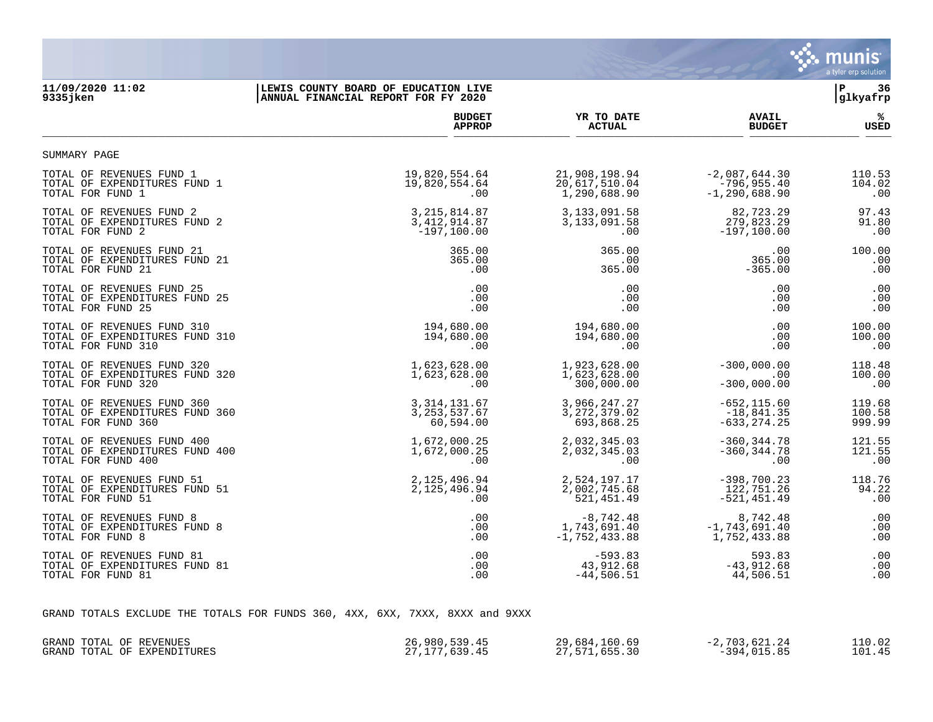

# **11/09/2020 11:02 |LEWIS COUNTY BOARD OF EDUCATION LIVE |P 36 |ANNUAL FINANCIAL REPORT FOR FY 2020**

|                                | <b>BUDGET</b>  | YR TO DATE      | <b>AVAIL</b>      | ℁      |
|--------------------------------|----------------|-----------------|-------------------|--------|
|                                | <b>APPROP</b>  | <b>ACTUAL</b>   | <b>BUDGET</b>     | USED   |
| SUMMARY PAGE                   |                |                 |                   |        |
| TOTAL OF REVENUES FUND 1       | 19,820,554.64  | 21,908,198.94   | $-2,087,644.30$   | 110.53 |
| TOTAL OF EXPENDITURES FUND 1   | 19,820,554.64  | 20,617,510.04   | $-796, 955.40$    | 104.02 |
| TOTAL FOR FUND 1               | $.00 \,$       | 1,290,688.90    | $-1, 290, 688.90$ | .00    |
| TOTAL OF REVENUES FUND 2       | 3, 215, 814.87 | 3, 133, 091.58  | 82,723.29         | 97.43  |
| TOTAL OF EXPENDITURES FUND 2   | 3, 412, 914.87 | 3, 133, 091.58  | 279,823.29        | 91.80  |
| TOTAL FOR FUND 2               | $-197, 100.00$ | .00             | $-197, 100.00$    | .00    |
| TOTAL OF REVENUES FUND 21      | 365.00         | 365.00          | .00               | 100.00 |
| TOTAL OF EXPENDITURES FUND 21  | 365.00         | .00             | 365.00            | .00    |
| TOTAL FOR FUND 21              | .00            | 365.00          | $-365.00$         | .00    |
| TOTAL OF REVENUES FUND 25      | .00            | .00             | .00               | .00    |
| TOTAL OF EXPENDITURES FUND 25  | .00            | .00             | .00               | .00    |
| TOTAL FOR FUND 25              | .00            | .00             | .00               | .00    |
| TOTAL OF REVENUES FUND 310     | 194,680.00     | 194,680.00      | .00               | 100.00 |
| TOTAL OF EXPENDITURES FUND 310 | 194,680.00     | 194,680.00      | .00               | 100.00 |
| TOTAL FOR FUND 310             | $.00 \,$       | .00             | .00               | .00    |
| TOTAL OF REVENUES FUND 320     | 1,623,628.00   | 1,923,628.00    | $-300,000.00$     | 118.48 |
| TOTAL OF EXPENDITURES FUND 320 | 1,623,628.00   | 1,623,628.00    | .00               | 100.00 |
| TOTAL FOR FUND 320             | $.00 \,$       | 300,000.00      | $-300,000.00$     | .00    |
| TOTAL OF REVENUES FUND 360     | 3, 314, 131.67 | 3,966,247.27    | $-652, 115.60$    | 119.68 |
| TOTAL OF EXPENDITURES FUND 360 | 3, 253, 537.67 | 3, 272, 379.02  | $-18,841.35$      | 100.58 |
| TOTAL FOR FUND 360             | 60,594.00      | 693,868.25      | $-633, 274.25$    | 999.99 |
| TOTAL OF REVENUES FUND 400     | 1,672,000.25   | 2,032,345.03    | $-360, 344.78$    | 121.55 |
| TOTAL OF EXPENDITURES FUND 400 | 1,672,000.25   | 2,032,345.03    | $-360, 344.78$    | 121.55 |
| TOTAL FOR FUND 400             | .00            | .00             | .00               | .00    |
| TOTAL OF REVENUES FUND 51      | 2,125,496.94   | 2,524,197.17    | $-398,700.23$     | 118.76 |
| TOTAL OF EXPENDITURES FUND 51  | 2,125,496.94   | 2,002,745.68    | 122,751.26        | 94.22  |
| TOTAL FOR FUND 51              | .00            | 521, 451.49     | $-521, 451.49$    | .00    |
| TOTAL OF REVENUES FUND 8       | .00            | $-8,742.48$     | 8,742.48          | .00    |
| TOTAL OF EXPENDITURES FUND 8   | .00            | 1,743,691.40    | $-1,743,691.40$   | .00    |
| TOTAL FOR FUND 8               | .00            | $-1,752,433.88$ | 1,752,433.88      | .00    |
| TOTAL OF REVENUES FUND 81      | .00            | $-593.83$       | 593.83            | .00    |
| TOTAL OF EXPENDITURES FUND 81  | .00            | 43,912.68       | $-43,912.68$      | .00    |
| TOTAL FOR FUND 81              | .00            | $-44,506.51$    | 44,506.51         | .00    |

GRAND TOTALS EXCLUDE THE TOTALS FOR FUNDS 360, 4XX, 6XX, 7XXX, 8XXX and 9XXX

| GRAND TOTAL OF REVENUES        | 26,980,539.45                    | .160.69<br>29.684.                            | $\sim$ $\sim$ $\sim$<br>C 703<br>.621.24<br>$\overline{\phantom{0}}$ | 10.02  |
|--------------------------------|----------------------------------|-----------------------------------------------|----------------------------------------------------------------------|--------|
| OF EXPENDITURES<br>GRAND TOTAL | ,639.45<br>1.77<br>$\sim$ $\sim$ | 65530<br>571<br>, , , , , , , ,<br>. <i>.</i> | $-394$ $015$<br>RE<br>.                                              | 101.45 |